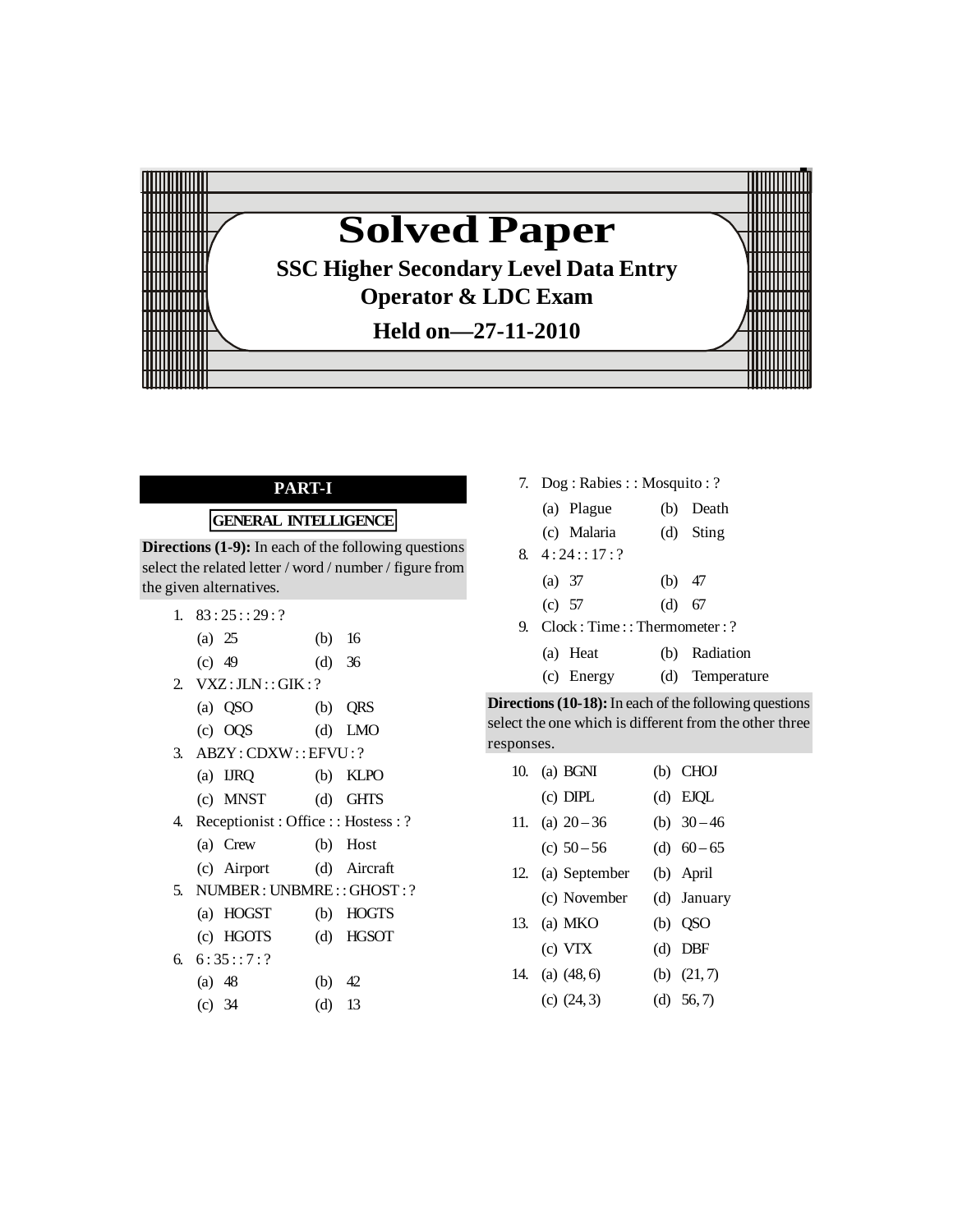

# **PART-I**

# **GENERAL INTELLIGENCE**

**Directions (1-9):** In each of the following questions select the related letter / word / number / figure from the given alternatives.

- 1.  $83:25::29:?$ 
	- (a) 25 (b) 16
	- (c) 49 (d) 36
- 2. VXZ:JLN: : GIK : ?
	- (a) QSO (b) QRS
- (c) OQS (d) LMO
- 3. ABZY: CDXW:: EFVU: ?
	- (a) IJRQ (b) KLPO
	- (c) MNST (d) GHTS
- 4. Receptionist : Office : : Hostess : ?
	- (a) Crew (b) Host
	- (c) Airport (d) Aircraft
- 5. NUMBER: UNBMRE: : GHOST : ?
	- (a) HOGST (b) HOGTS
	- (c) HGOTS (d) HGSOT
- 6.  $6:35::7:?$ 
	- (a) 48 (b) 42
	- (c) 34 (d) 13

7. Dog : Rabies : : Mosquito : ?

|    | (a) Plague                  |          | (b) Death |
|----|-----------------------------|----------|-----------|
|    | (c) Malaria                 |          | (d) Sting |
|    | $8. \quad 4:24::17:?$       |          |           |
|    | (a) $37$                    | (b) $47$ |           |
|    | (c) $57$                    | $(d)$ 67 |           |
| 9. | Clock: Time::Thermometer: ? |          |           |

| (a) Heat   | (b) Radiation   |
|------------|-----------------|
| (c) Energy | (d) Temperature |

| <b>Directions (10-18):</b> In each of the following questions |
|---------------------------------------------------------------|
| select the one which is different from the other three        |
| responses.                                                    |

| 10. | $(a)$ BGNI      | (b) CHOJ      |
|-----|-----------------|---------------|
|     | $(c)$ DIPL      | $(d)$ EJQL    |
| 11. | (a) $20 - 36$   | (b) $30 - 46$ |
|     | (c) $50 - 56$   | (d) $60-65$   |
| 12. | (a) September   | (b) April     |
|     | (c) November    | (d) January   |
| 13. | (a) MKO         | $(b)$ OSO     |
|     | (c) VTX         | $(d)$ DBF     |
| 14. | $(a)$ $(48, 6)$ | (b) $(21,7)$  |
|     | (c) $(24,3)$    | (d) $56, 7$ ) |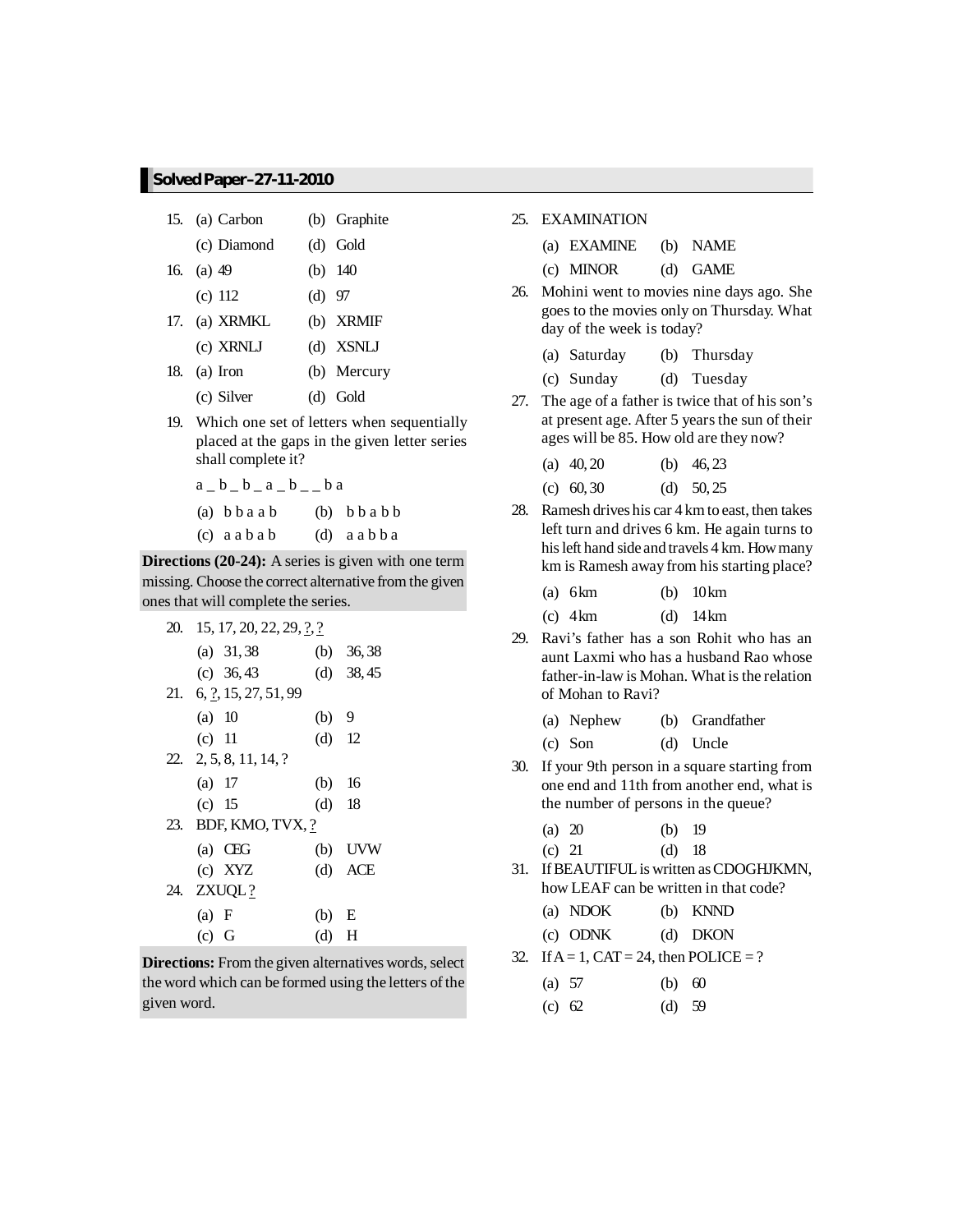|     | 15. (a) Carbon |            | (b) Graphite |
|-----|----------------|------------|--------------|
|     | (c) Diamond    | $(d)$ Gold |              |
| 16. | $(a)$ 49       | (b) $140$  |              |
|     | (c) 112        | $(d)$ 97   |              |
| 17. | (a) XRMKL      |            | (b) XRMIF    |
|     | (c) XRNLJ      |            | (d) XSNLJ    |
|     | 18. (a) Iron   |            | (b) Mercury  |
|     | (c) Silver     | $(d)$ Gold |              |

19. Which one set of letters when sequentially placed at the gaps in the given letter series shall complete it?

 $a_b_b_b_a_a_b$ (a)  $bbaab$  (b)  $bbabb$  $(c)$  a a  $b$  a b  $(d)$  a a  $b$   $b$  a

**Directions (20-24):** A series is given with one term missing. Choose the correct alternative from the given ones that will complete the series.

| 20. 15, 17, 20, 22, 29, ?, ?          |          |             |
|---------------------------------------|----------|-------------|
| (a) $31,38$                           |          | (b) $36,38$ |
| (c) $36,43$                           |          | (d) $38,45$ |
| 21. 6, $\frac{7}{2}$ , 15, 27, 51, 99 |          |             |
| (a) 10                                | $(b)$ 9  |             |
| (c) 11                                | $(d)$ 12 |             |
| $22. \quad 2, 5, 8, 11, 14, ?$        |          |             |
| $(a)$ 17                              | (b) 16   |             |
| (c) 15                                | $(d)$ 18 |             |
| 23. BDF, KMO, TVX, ?                  |          |             |
| $(a)$ CEG                             |          | $(b)$ UVW   |
| $(c)$ XYZ                             |          | $(d)$ ACE   |
| 24. ZXUQL?                            |          |             |
| (a) F                                 | (b) E    |             |
| $(c)$ G                               | $(d)$ H  |             |

**Directions:** From the given alternatives words, select the word which can be formed using the letters of the given word.

25. EXAMINATION

| (a) EXAMINE | (b) NAME |
|-------------|----------|
|-------------|----------|

- (c) MINOR (d) GAME
- 26. Mohini went to movies nine days ago. She goes to the movies only on Thursday. What day of the week is today?
	- (a) Saturday (b) Thursday
	- (c) Sunday (d) Tuesday
- 27. The age of a father is twice that of his son's at present age. After 5 years the sun of their ages will be 85. How old are they now?

| (a) $40, 20$ | (b) $46, 23$ |
|--------------|--------------|
| (c) $60, 30$ | (d) $50,25$  |

28. Ramesh drives his car 4 kmto east, then takes left turn and drives 6 km. He again turns to hisleft hand side and travels 4 km. Howmany km is Ramesh away from his starting place?

| $(a)$ 6 km | $(b)$ 10 km |
|------------|-------------|
| $(c)$ 4 km | $(d)$ 14 km |

29. Ravi's father has a son Rohit who has an aunt Laxmi who has a husband Rao whose father-in-law is Mohan. What is the relation of Mohan to Ravi?

|  |  | (a) Nephew |  | (b) Grandfather |
|--|--|------------|--|-----------------|
|--|--|------------|--|-----------------|

- (c) Son (d) Uncle
- 30. If your 9th person in a square starting from one end and 11th from another end, what is the number of persons in the queue?

| (a) 20 | $(b)$ 19 |  |
|--------|----------|--|
|--------|----------|--|

- (c) 21 (d) 18
- 31. IfBEAUTIFULis written asCDOGHJKMN, how LEAF can be written in that code?

| (a) NDOK |  | $(b)$ KNND |
|----------|--|------------|
|----------|--|------------|

| $(c)$ ODNK | $(d)$ DKON |
|------------|------------|
|            |            |

32. If  $A = 1$ ,  $CAT = 24$ , then POLICE = ?

| (a) $57$ |  | (b) $60$ |
|----------|--|----------|
|          |  |          |

(c) 62 (d) 59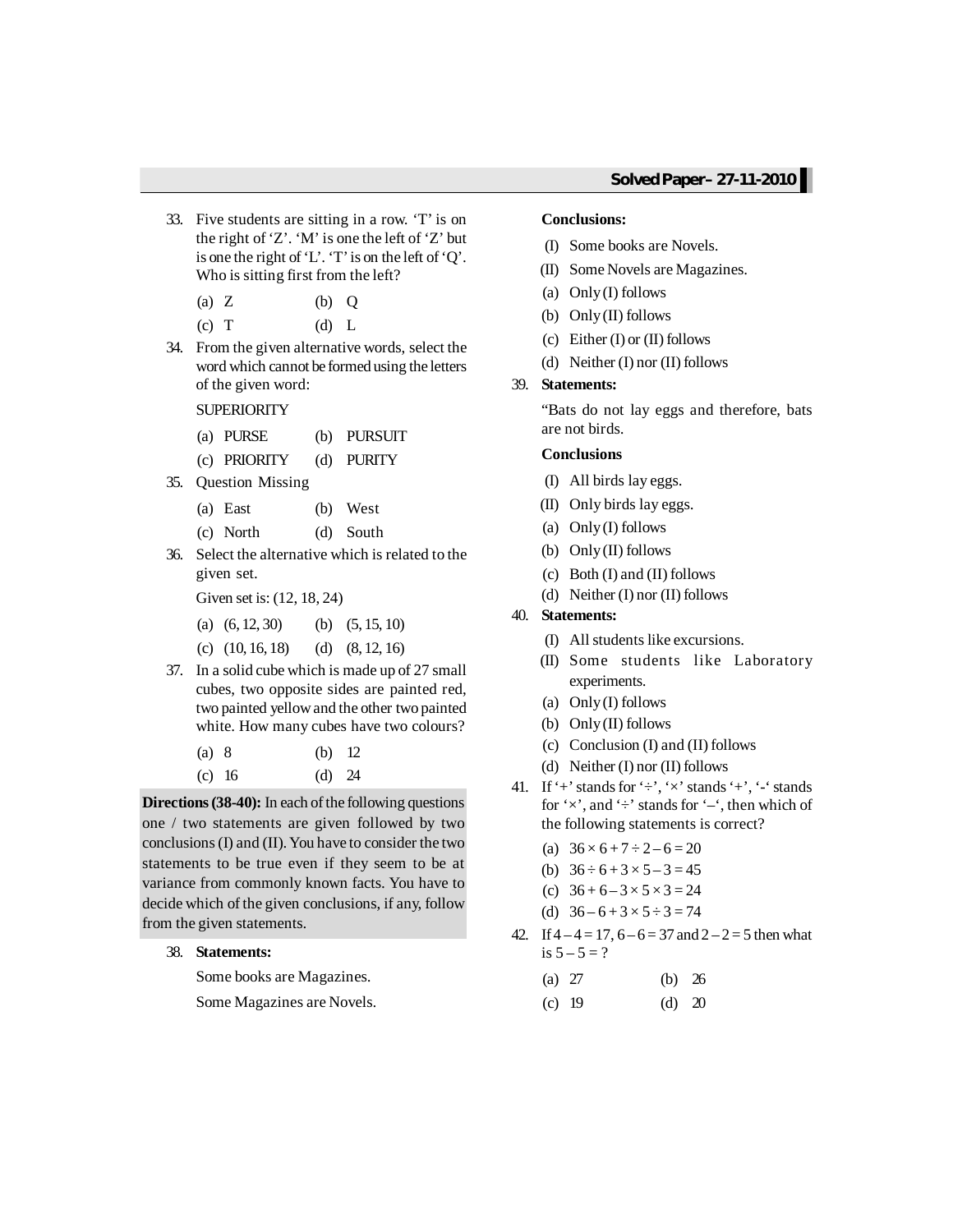- 33. Five students are sitting in a row. 'T' is on the right of 'Z'. 'M' is one the left of 'Z' but is one the right of 'L'. 'T' is on the left of 'Q'. Who is sitting first from the left?
	- (a) Z (b) Q
	- (c) T (d) L
- 34. From the given alternative words, select the word which cannot be formed using the letters of the given word:

**SUPERIORITY** 

- (a) PURSE (b) PURSUIT
- (c) PRIORITY (d) PURITY
- 35. Question Missing
	- (a) East (b) West
	- (c) North (d) South
- 36. Select the alternative which is related to the given set.

Given set is: (12, 18, 24)

(a) 
$$
(6, 12, 30)
$$
 (b)  $(5, 15, 10)$ 

- (c)  $(10, 16, 18)$  (d)  $(8, 12, 16)$
- 37. In a solid cube which is made up of 27 small cubes, two opposite sides are painted red, two painted yellowand the other two painted white. How many cubes have two colours?

| $(a)$ 8 | (b) $12$ |  |
|---------|----------|--|
| (c) 16  | (d) $24$ |  |

**Directions (38-40):** In each of the following questions one / two statements are given followed by two conclusions(I) and (II). You have to consider the two statements to be true even if they seem to be at variance from commonly known facts. You have to decide which of the given conclusions, if any, follow from the given statements.

38. **Statements:**

Some books are Magazines.

Some Magazines are Novels.

#### **Conclusions:**

- (I) Some books are Novels.
- (II) Some Novels are Magazines.
- (a) Only(I) follows
- (b) Only(II) follows
- (c) Either (I) or (II) follows
- (d) Neither (I) nor (II) follows

#### 39. **Statements:**

"Bats do not lay eggs and therefore, bats are not birds.

#### **Conclusions**

- (I) All birds lay eggs.
- (II) Only birds lay eggs.
- (a) Only(I) follows
- (b) Only(II) follows
- (c) Both (I) and (II) follows
- (d) Neither (I) nor (II) follows

#### 40. **Statements:**

- (I) All students like excursions.
- (II) Some students like Laboratory experiments.
- (a) Only(I) follows
- (b) Only(II) follows
- (c) Conclusion (I) and (II) follows
- (d) Neither (I) nor (II) follows
- 41. If '+' stands for ' $\div$ ', ' $\times$ ' stands '+', '-' stands for ' $\times$ ', and ' $\div$ ' stands for '–', then which of the following statements is correct?
	- (a)  $36 \times 6 + 7 \div 2 6 = 20$
	- (b)  $36 \div 6 + 3 \times 5 3 = 45$
	- (c)  $36 + 6 3 \times 5 \times 3 = 24$
	- (d)  $36 6 + 3 \times 5 \div 3 = 74$
- 42. If  $4-4=17$ ,  $6-6=37$  and  $2-2=5$  then what is  $5 - 5 = ?$ 
	- (a) 27 (b) 26
	- (c) 19 (d) 20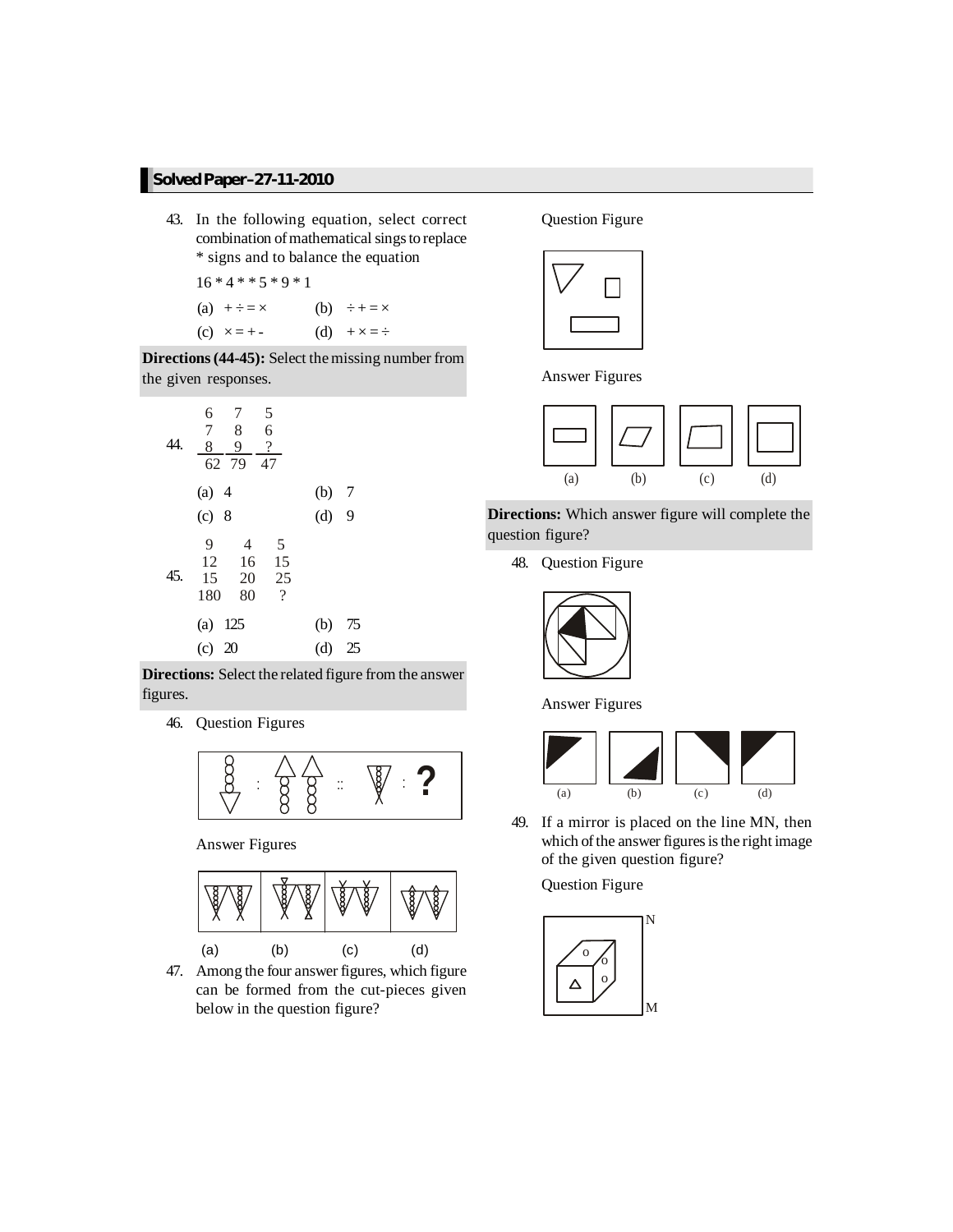- 43. In the following equation, select correct combination of mathematical sings to replace \* signs and to balance the equation
	- $16 * 4 * * 5 * 9 * 1$ (a)  $+ \div = \times$  (b)  $\div + = \times$
	- (c)  $x = + -$  (d)  $+ x = \div$

**Directions(44-45):** Select themissing number from the given responses.

| 6       | 7              | 5  |    |
|---------|----------------|----|----|
| 7       | 8              | 6  |    |
| 44.     | $\frac{8}{62}$ | 9  | ?  |
| (a) 4   | (b) 7          |    |    |
| (c) 8   | (d) 9          |    |    |
| 9       | 4              | 5  |    |
| 12      | 16             | 15 |    |
| 45.     | 15             | 20 | 25 |
| 180     | 80             | ?  |    |
| (a) 125 | (b) 75         |    |    |
| (c) 20  | (d) 25         |    |    |

**Directions:** Select the related figure from the answer figures.

46. Question Figures



Answer Figures



47. Among the four answer figures, which figure can be formed from the cut-pieces given below in the question figure?

Question Figure



Answer Figures



**Directions:** Which answer figure will complete the question figure?

48. Question Figure



Answer Figures



49. If a mirror is placed on the line MN, then which of the answer figures is the right image of the given question figure?

Question Figure

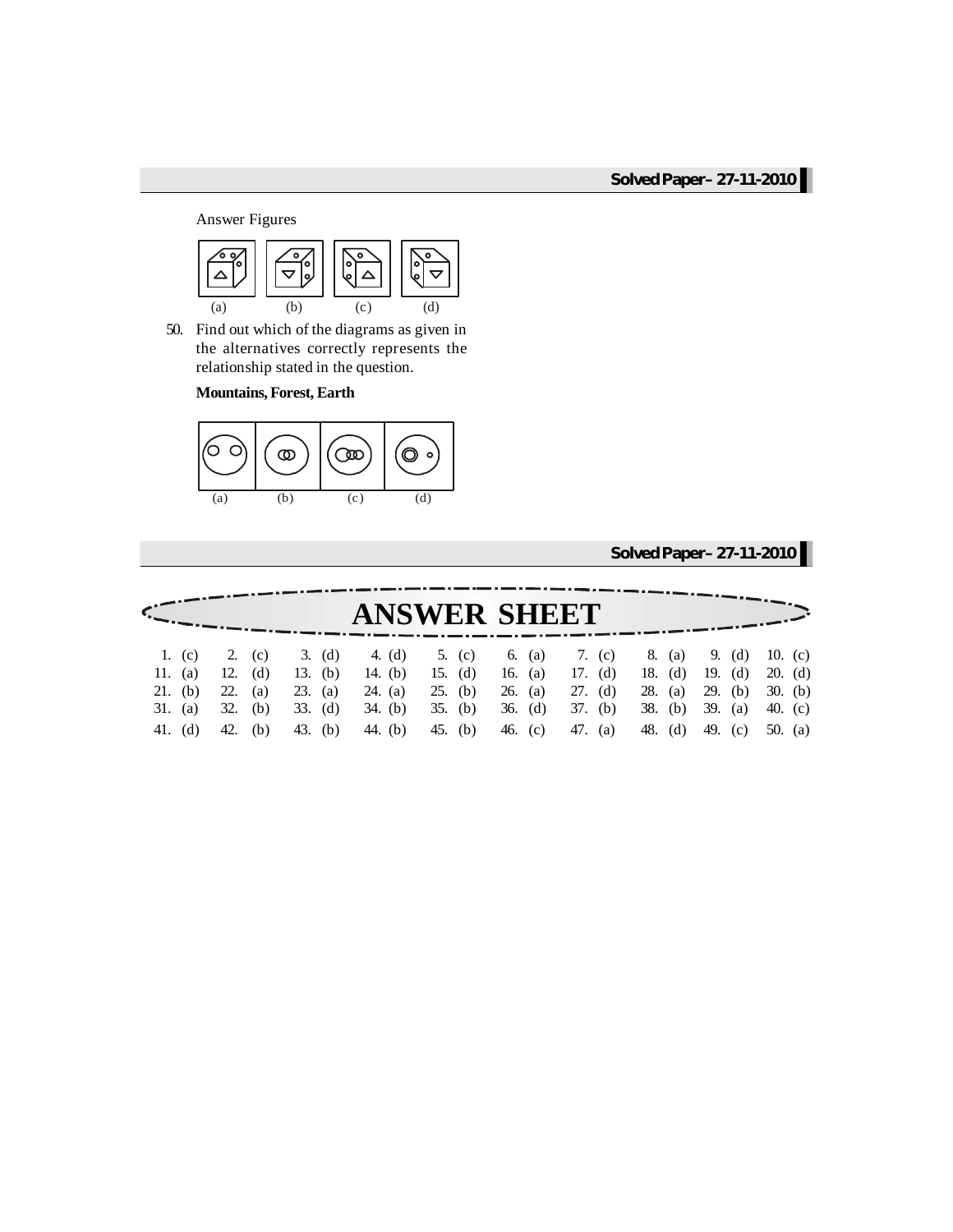Answer Figures



50. Find out which of the diagrams as given in the alternatives correctly represents the relationship stated in the question.

**Mountains, Forest, Earth**



|            |     |     |           |                     |           |           |           | Solved Paper-27-11-2010 |           |           |           |         |           |
|------------|-----|-----|-----------|---------------------|-----------|-----------|-----------|-------------------------|-----------|-----------|-----------|---------|-----------|
|            |     |     |           | <b>ANSWER SHEET</b> |           |           |           |                         |           |           |           |         |           |
|            |     |     |           |                     |           |           |           |                         |           |           |           |         |           |
| 1. $(c)$   | 2.  | (c) | 3. (d)    | 4. (d)              | 5. (c)    | 6. (a)    | 7. (c)    |                         | 8. (a)    |           | 9. $(d)$  |         | 10. $(c)$ |
| 11. (a)    | 12. | (d) | 13. (b)   | 14. (b)             | 15. $(d)$ | 16. $(a)$ | 17. $(d)$ |                         | 18. $(d)$ |           | 19. $(d)$ |         | $20.$ (d) |
| 21. (b)    | 22. | (a) | $23.$ (a) | 24. (a)             | 25. (b)   | 26. (a)   | $27.$ (d) | 28.                     | (a)       |           | 29. (b)   |         | 30. $(b)$ |
| 31.<br>(a) | 32. | (b) | $33.$ (d) | $34.$ (b)           | $35.$ (b) | $36.$ (d) | $37.$ (b) | 38.                     | (b)       | 39. $(a)$ |           | 40. (c) |           |
| 41. (d)    | 42. | (b) | 43. (b)   | 44. (b)             | 45. (b)   | 46. $(c)$ | 47. (a)   | 48.                     | (d)       | 49. (c)   |           |         | 50. $(a)$ |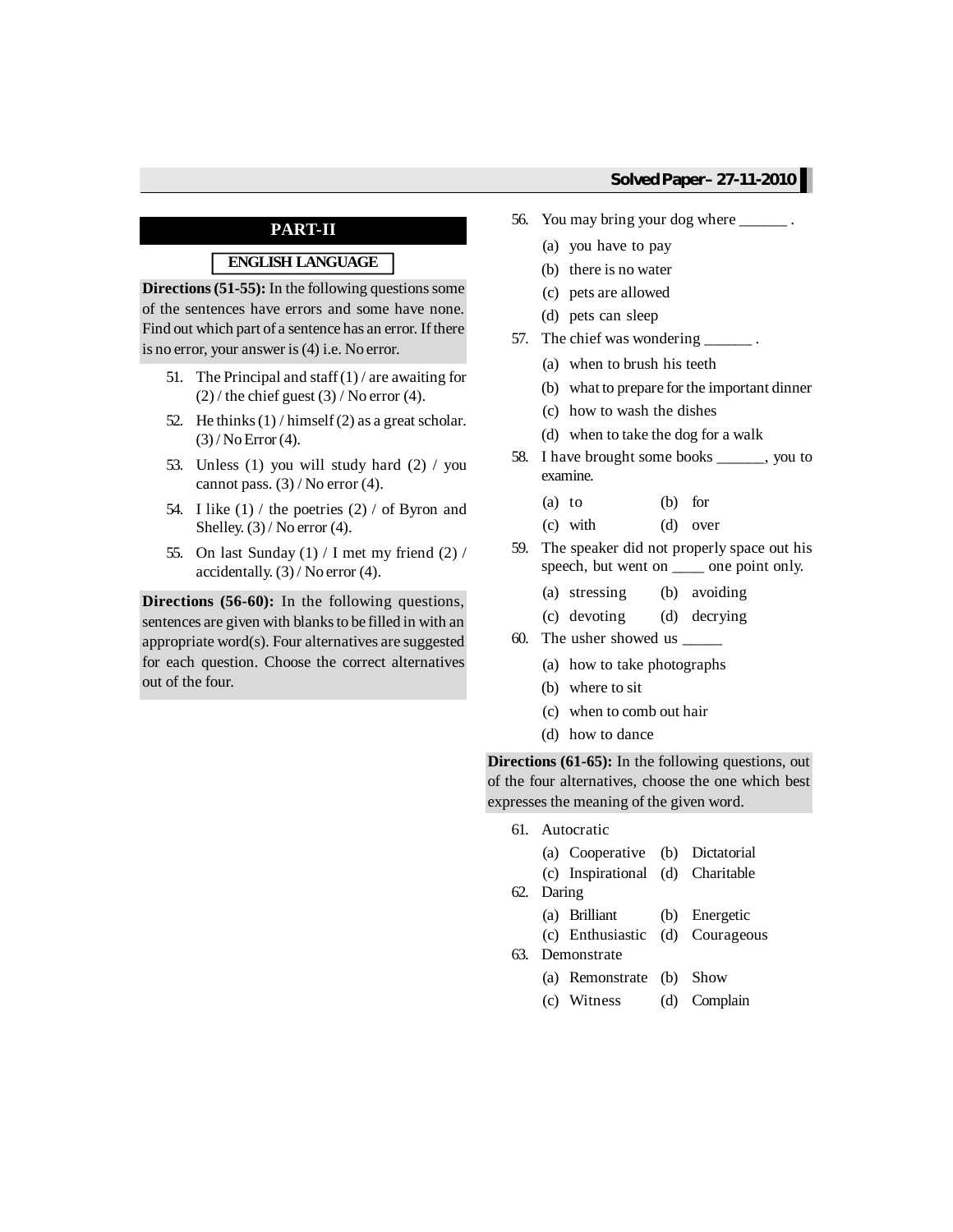## **PART-II**

# **ENGLISH LANGUAGE**

**Directions (51-55):** In the following questions some of the sentences have errors and some have none. Find out which part of a sentence has an error. If there is no error, your answer is(4) i.e. No error.

- 51. The Principal and staff  $(1)$  / are awaiting for  $(2)$  / the chief guest  $(3)$  / No error  $(4)$ .
- 52. He thinks  $(1)$  / himself $(2)$  as a great scholar.  $(3)$  / No Error  $(4)$ .
- 53. Unless (1) you will study hard (2) / you cannot pass.  $(3)$  / No error  $(4)$ .
- 54. I like  $(1)$  / the poetries  $(2)$  / of Byron and Shelley.  $(3)$  / No error  $(4)$ .
- 55. On last Sunday  $(1)$  / I met my friend  $(2)$  / accidentally. (3) / No error (4).

**Directions (56-60):** In the following questions, sentences are given with blanks to be filled in with an appropriate word(s). Four alternatives are suggested for each question. Choose the correct alternatives out of the four.

- 56. You may bring your dog where \_\_\_\_\_\_ .
	- (a) you have to pay
	- (b) there is no water
	- (c) pets are allowed
	- (d) pets can sleep
- 57. The chief was wondering
	- (a) when to brush his teeth
	- (b) what to prepare for the important dinner
	- (c) how to wash the dishes
	- (d) when to take the dog for a walk
- 58. I have brought some books \_\_\_\_\_\_, you to examine.
	- (a) to (b) for
	- (c) with (d) over
- 59. The speaker did not properly space out his speech, but went on  $\_\_\_\_$  one point only.
	- (a) stressing (b) avoiding
	- (c) devoting (d) decrying
- 60. The usher showed us \_\_\_\_\_
	- (a) how to take photographs
	- (b) where to sit
	- (c) when to comb out hair
	- (d) how to dance

**Directions (61-65):** In the following questions, out of the four alternatives, choose the one which best expresses the meaning of the given word.

- 61. Autocratic
	- (a) Cooperative (b) Dictatorial
	- (c) Inspirational (d) Charitable
- 62. Daring
	- (a) Brilliant (b) Energetic
	- (c) Enthusiastic (d) Courageous
- 63. Demonstrate
	- (a) Remonstrate (b) Show
	- (c) Witness (d) Complain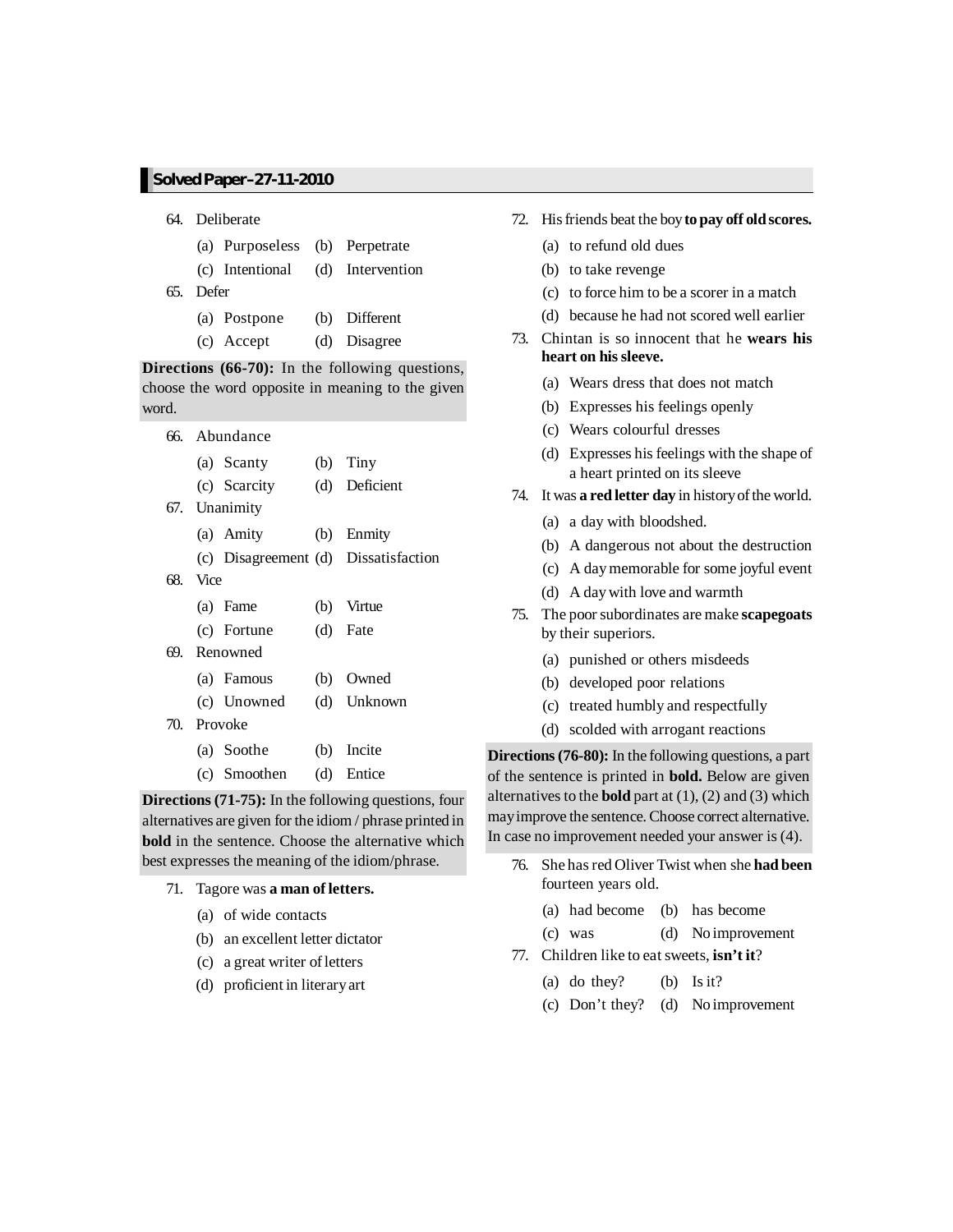- 64. Deliberate
	- (a) Purposeless (b) Perpetrate
	- (c) Intentional (d) Intervention
- 65. Defer
	- (a) Postpone (b) Different
	- (c) Accept (d) Disagree

**Directions (66-70):** In the following questions, choose the word opposite in meaning to the given word.

|          | 66. Abundance |                                      |
|----------|---------------|--------------------------------------|
|          | (a) Scanty    | $(b)$ Tiny                           |
|          | (c) Scarcity  | (d) Deficient                        |
|          | 67. Unanimity |                                      |
|          | (a) Amity     | (b) Enmity                           |
|          |               | (c) Disagreement (d) Dissatisfaction |
| 68. Vice |               |                                      |
|          | (a) Fame      | (b) Virtue                           |
|          | (c) Fortune   | (d) Fate                             |
|          | 69. Renowned  |                                      |
|          | (a) Famous    | (b) Owned                            |
|          | (c) Unowned   | (d) Unknown                          |
|          | 70. Provoke   |                                      |
|          | (a) Soothe    | (b) Incite                           |
|          | (c) Smoothen  | (d) Entice                           |

**Directions (71-75):** In the following questions, four alternatives are given for the idiom / phrase printed in **bold** in the sentence. Choose the alternative which best expresses the meaning of the idiom/phrase.

- 71. Tagore was **a man of letters.**
	- (a) of wide contacts
	- (b) an excellent letter dictator
	- (c) a great writer ofletters
	- (d) proficient in literaryart
- 72. Hisfriends beat the boy **to pay off oldscores.**
	- (a) to refund old dues
	- (b) to take revenge
	- (c) to force him to be a scorer in a match
	- (d) because he had not scored well earlier
- 73. Chintan is so innocent that he **wears his heart on hissleeve.**
	- (a) Wears dress that does not match
	- (b) Expresses his feelings openly
	- (c) Wears colourful dresses
	- (d) Expresses his feelings with the shape of a heart printed on its sleeve
- 74. It was **a red letter day** in historyofthe world.
	- (a) a day with bloodshed.
	- (b) A dangerous not about the destruction
	- (c) A daymemorable for some joyful event
	- (d) A daywith love and warmth
- 75. The poorsubordinates are make **scapegoats** by their superiors.
	- (a) punished or others misdeeds
	- (b) developed poor relations
	- (c) treated humbly and respectfully
	- (d) scolded with arrogant reactions

**Directions** (76-80): In the following questions, a part of the sentence is printed in **bold.** Below are given alternatives to the **bold** part at (1), (2) and (3) which mayimprove the sentence. Choose correct alternative. In case no improvement needed your answer is (4).

- 76. She hasred Oliver Twist when she **had been** fourteen years old.
	- (a) had become (b) has become
	- (c) was (d) No improvement
- 77. Children like to eat sweets, **isn't it**?
	- (a) do they? (b) Is it?
	- (c) Don't they? (d) No improvement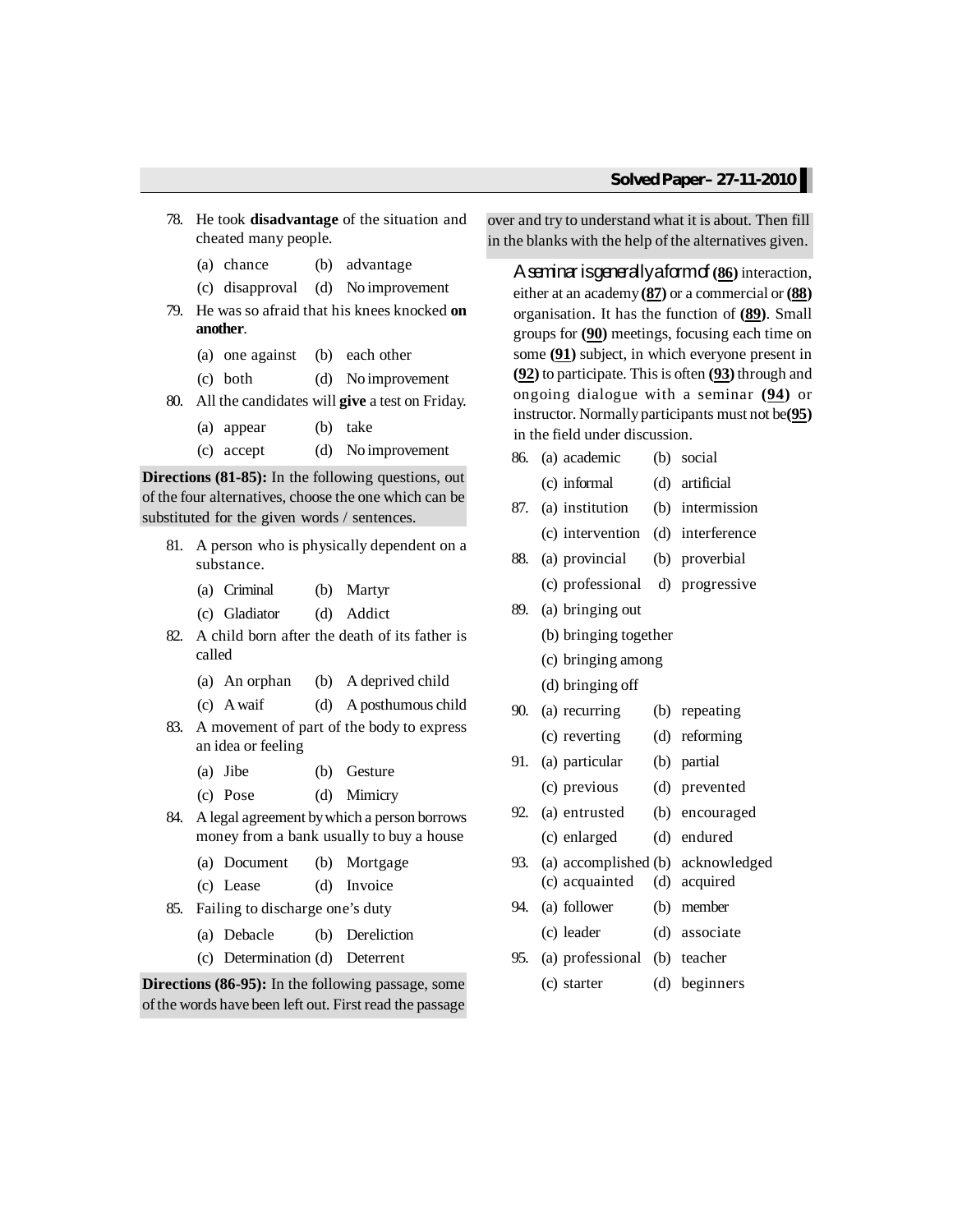- 78. He took **disadvantage** of the situation and cheated many people.
	- (a) chance (b) advantage
	- (c) disapproval (d) No improvement
- 79. He was so afraid that his knees knocked **on another**.
	- (a) one against (b) each other
	- (c) both (d) No improvement
- 80. All the candidates will **give** a test on Friday.
	- (a) appear (b) take
	- (c) accept (d) No improvement

**Directions** (81-85): In the following questions, out of the four alternatives, choose the one which can be substituted for the given words / sentences.

- 81. A person who is physically dependent on a substance.
	- (a) Criminal (b) Martyr
	- (c) Gladiator (d) Addict
- 82. A child born after the death of its father is called
	- (a) An orphan (b) A deprived child
	- (c) Awaif (d) A posthumous child
- 83. A movement of part of the body to express an idea or feeling
	- (a) Jibe (b) Gesture
	- (c) Pose (d) Mimicry
- 84. A legal agreement bywhich a person borrows money from a bank usually to buy a house
	- (a) Document (b) Mortgage
	- (c) Lease (d) Invoice
- 85. Failing to discharge one's duty
	- (a) Debacle (b) Dereliction
	- (c) Determination (d) Deterrent

**Directions (86-95):** In the following passage, some of the words have been left out. First read the passage over and try to understand what it is about. Then fill in the blanks with the help of the alternatives given.

Aseminarisgenerallyaformof **(86)** interaction, either at an academy **(87)** or a commercial or **(88)** organisation. It has the function of **(89)**. Small groups for **(90)** meetings, focusing each time on some **(91)** subject, in which everyone present in **(92)** to participate. Thisis often **(93)** through and ongoing dialogue with a seminar **(94)** or instructor. Normally participants must not be(95) in the field under discussion.

| 86. | (a) academic                    | (b) | social                            |
|-----|---------------------------------|-----|-----------------------------------|
|     | (c) informal                    | (d) | artificial                        |
| 87. | (a) institution                 |     | (b) intermission                  |
|     | (c) intervention                |     | (d) interference                  |
| 88. | (a) provincial                  |     | (b) proverbial                    |
|     | (c) professional d) progressive |     |                                   |
| 89. | (a) bringing out                |     |                                   |
|     | (b) bringing together           |     |                                   |
|     | (c) bringing among              |     |                                   |
|     | (d) bringing off                |     |                                   |
| 90. | (a) recurring                   |     | (b) repeating                     |
|     | (c) reverting                   | (d) | reforming                         |
| 91. | (a) particular                  | (b) | partial                           |
|     | (c) previous                    | (d) | prevented                         |
| 92. | (a) entrusted                   |     | (b) encouraged                    |
|     | (c) enlarged                    | (d) | endured                           |
| 93. |                                 |     | (a) accomplished (b) acknowledged |
|     | (c) acquainted                  | (d) | acquired                          |
| 94. | (a) follower                    | (b) | member                            |
|     | (c) leader                      |     | (d) associate                     |
| 95. | (a) professional (b) teacher    |     |                                   |
|     |                                 |     |                                   |

(c) starter (d) beginners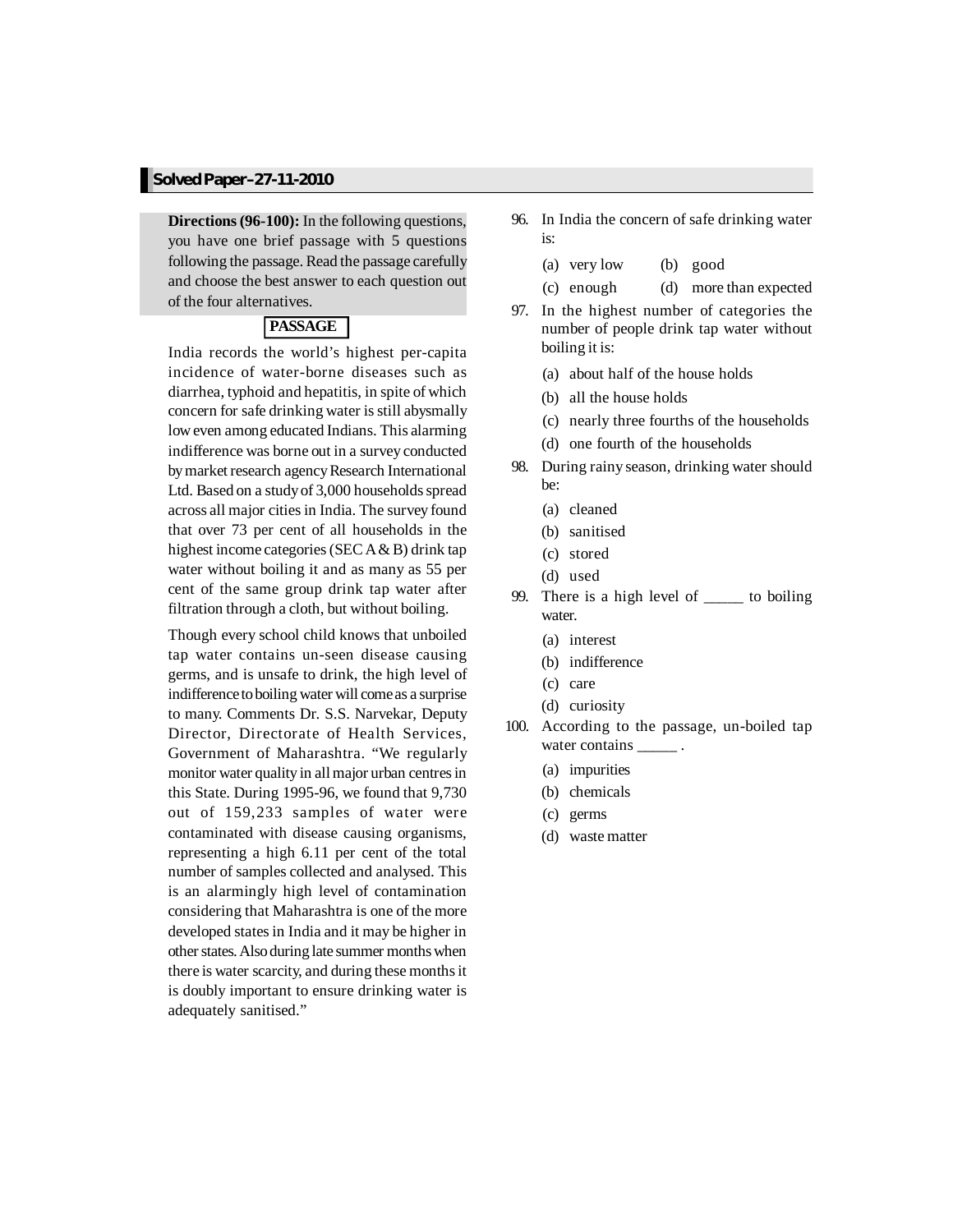**Directions(96-100):** In the following questions, you have one brief passage with 5 questions following the passage. Read the passage carefully and choose the best answer to each question out of the four alternatives.

## **PASSAGE**

India records the world's highest per-capita incidence of water-borne diseases such as diarrhea, typhoid and hepatitis, in spite of which concern for safe drinking water is still abysmally loweven among educated Indians. This alarming indifference was borne out in a survey conducted by market research agency Research International Ltd. Based on a study of 3,000 households spread across all major citiesin India. The survey found that over 73 per cent of all households in the highest income categories (SEC  $A & B$ ) drink tap water without boiling it and as many as 55 per cent of the same group drink tap water after filtration through a cloth, but without boiling.

Though every school child knows that unboiled tap water contains un-seen disease causing germs, and is unsafe to drink, the high level of indifference to boiling water will come as a surprise to many. Comments Dr. S.S. Narvekar, Deputy Director, Directorate of Health Services, Government of Maharashtra. "We regularly monitor water quality in all major urban centres in this State. During 1995-96, we found that 9,730 out of 159,233 samples of water were contaminated with disease causing organisms, representing a high 6.11 per cent of the total number of samples collected and analysed. This is an alarmingly high level of contamination considering that Maharashtra is one of the more developed states in India and it may be higher in other states. Also during late summer months when there is water scarcity, and during these monthsit is doubly important to ensure drinking water is adequately sanitised."

- 96. In India the concern of safe drinking water is:
	- (a) very low (b) good
	- (c) enough (d) more than expected
- 97. In the highest number of categories the number of people drink tap water without boiling it is:
	- (a) about half of the house holds
	- (b) all the house holds
	- (c) nearly three fourths of the households
	- (d) one fourth of the households
- 98. During rainy season, drinking water should be:
	- (a) cleaned
	- (b) sanitised
	- (c) stored
	- (d) used
- 99. There is a high level of \_\_\_\_\_ to boiling water.
	- (a) interest
	- (b) indifference
	- (c) care
	- (d) curiosity
- 100. According to the passage, un-boiled tap water contains
	- (a) impurities
	- (b) chemicals
	- (c) germs
	- (d) waste matter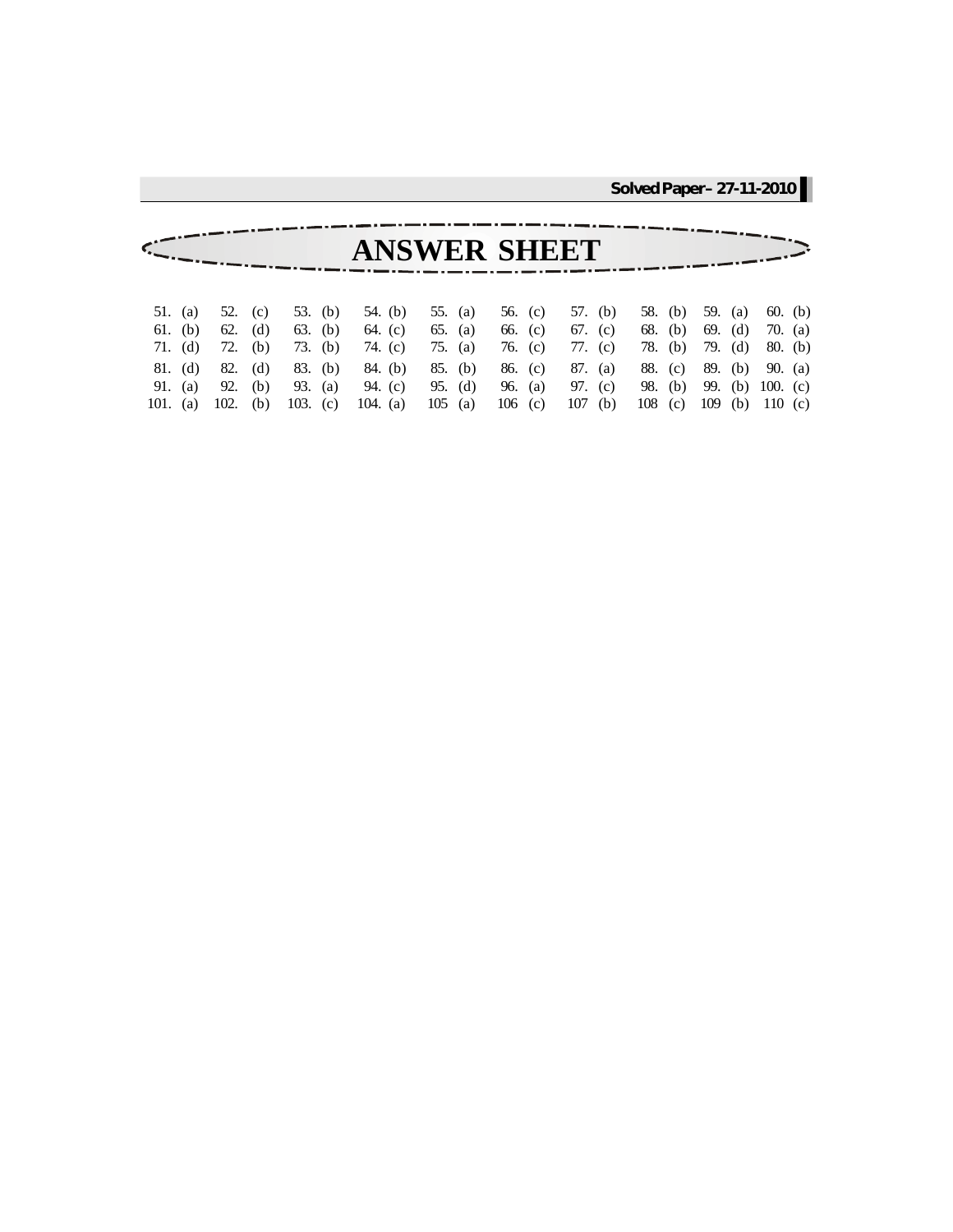|                                    |           |                       |                                  |                                | <b>ANSWER SHEET</b>                 |                               |                                  |                       |                                                |                                   |
|------------------------------------|-----------|-----------------------|----------------------------------|--------------------------------|-------------------------------------|-------------------------------|----------------------------------|-----------------------|------------------------------------------------|-----------------------------------|
|                                    |           |                       |                                  |                                |                                     |                               |                                  |                       |                                                |                                   |
| 51. (a)<br>$61.$ (b)<br>71. (d)    | 62. $(d)$ | 52. (c)<br>72. (b)    | 53. (b)<br>63. (b)<br>73. (b)    | 54. (b)<br>64. (c)<br>74. (c)  | 55. $(a)$<br>65. (a)<br>75. (a)     | 56. (c)<br>66. (c)<br>76. (c) | 57. (b)<br>67. (c)<br>77. (c)    | 58. (b)<br>78. (b)    | 59. (a)<br>68. (b) 69. (d)<br>79. (d)          | $60.$ (b)<br>70. (a)<br>$80.$ (b) |
| 81. (d)<br>91. (a) 92.<br>101. (a) | 102.      | 82. (d)<br>(b)<br>(b) | 83. (b)<br>93. (a)<br>103. $(c)$ | 84. (b)<br>94. (c)<br>104. (a) | $85.$ (b)<br>95. $(d)$<br>$105$ (a) | 86. (c)<br>96. (a)<br>106 (c) | 87. (a)<br>97. (c)<br>107<br>(b) | 88. (c)<br>108<br>(c) | 89. (b)<br>98. (b) 99. (b) 100. (c)<br>109 (b) | 90. $(a)$<br>110 (c)              |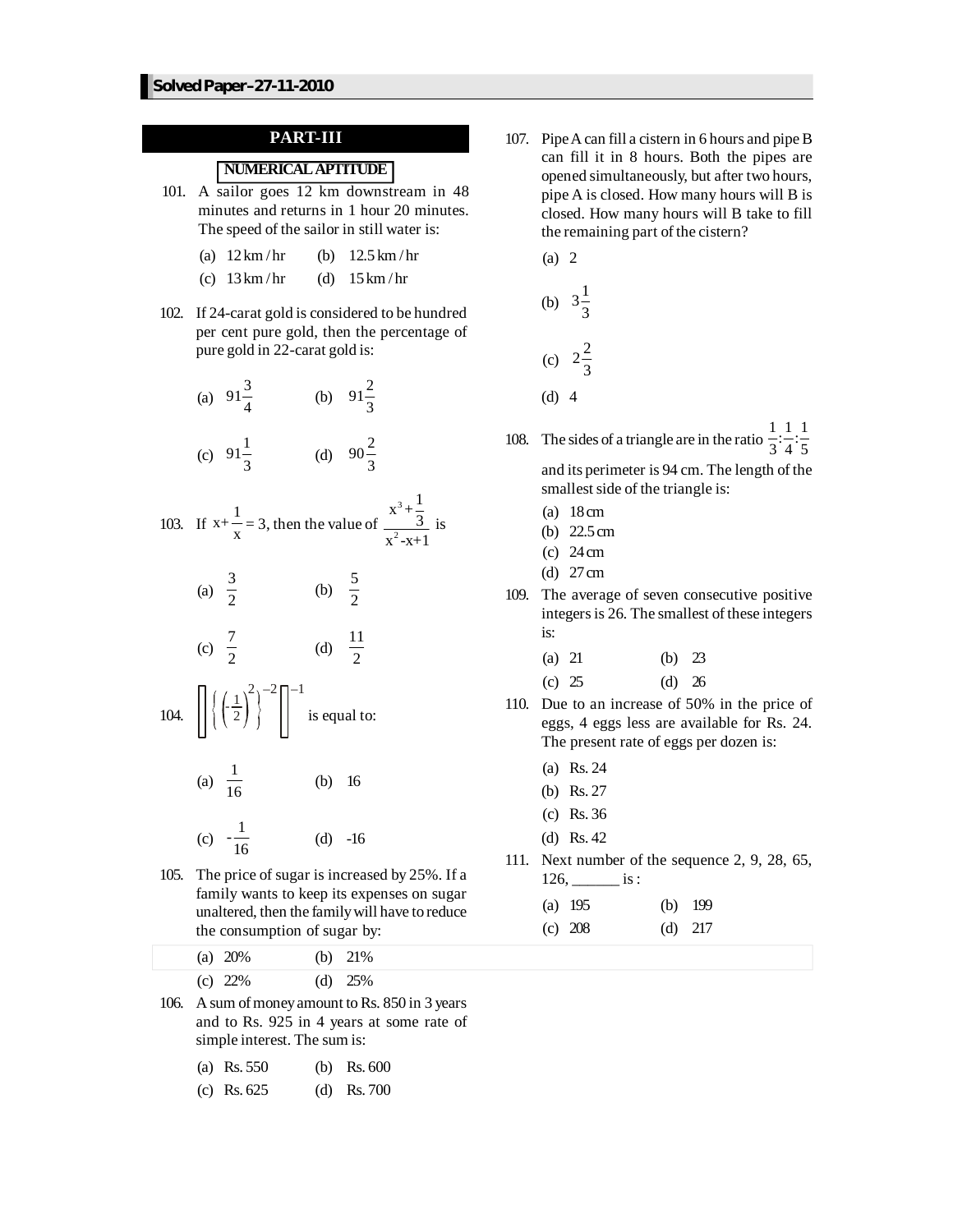## **PART-III**

### **NUMERICALAPTITUDE**

- 101. A sailor goes 12 km downstream in 48 minutes and returns in 1 hour 20 minutes. The speed of the sailor in still water is:
	- (a)  $12 \text{ km/hr}$  (b)  $12.5 \text{ km/hr}$
	- (c)  $13 \text{ km/hr}$  (d)  $15 \text{ km/hr}$
- 102. If 24-carat gold is considered to be hundred per cent pure gold, then the percentage of pure gold in 22-carat gold is:
	- (a)  $91\frac{3}{4}$  (b)  $91\frac{2}{3}$

(c) 
$$
91\frac{1}{3}
$$
 (d)  $90\frac{2}{3}$ 

103. If 
$$
x + \frac{1}{x} = 3
$$
, then the value of  $\frac{x^3 + \frac{1}{3}}{x^2 - x + 1}$  is

(a) 
$$
\frac{3}{2}
$$
 (b)  $\frac{5}{2}$ 

(c) 
$$
\frac{7}{2}
$$
 (d)  $\frac{11}{2}$ 

104. 
$$
\left[ \left\{ \left( \frac{1}{2} \right)^2 \right\}^{-2} \right]^{-1}
$$
 is equal to:

(a) 
$$
\frac{1}{16}
$$
 (b) 16

(c) 
$$
-\frac{1}{16}
$$
 (d) -16

105. The price of sugar is increased by 25%. If a family wants to keep its expenses on sugar unaltered, then the familywill have to reduce the consumption of sugar by:

107. PipeA can fill a cistern in 6 hours and pipe B can fill it in 8 hours. Both the pipes are opened simultaneously, but after two hours, pipe A is closed. How many hours will B is closed. How many hours will B take to fill the remaining part of the cistern?

(a) 2  
\n(b) 
$$
3\frac{1}{3}
$$
  
\n(c)  $2\frac{2}{3}$   
\n(d) 4

- 108. The sides of a triangle are in the ratio  $\frac{1}{3}:\frac{1}{4}:\frac{1}{5}$ and its perimeter is 94 cm. The length of the smallest side of the triangle is:
	- (a) 18cm
	- (b) 22.5cm
	- $(c)$  24 cm
	- (d) 27cm
- 109. The average of seven consecutive positive integers is 26. The smallest of these integers is:
	- (a) 21 (b) 23
	- (c) 25 (d) 26
- 110. Due to an increase of 50% in the price of eggs, 4 eggs less are available for Rs. 24. The present rate of eggs per dozen is:
	- (a) Rs. 24
	- (b) Rs. 27
	- (c) Rs. 36
	- (d) Rs. 42
- 111. Next number of the sequence 2, 9, 28, 65,  $126, \_\_$  is :

| (a) $195$ | (b) $199$ |
|-----------|-----------|
| (c) $208$ | $(d)$ 217 |

| (a) $20\%$ | (b) $21\%$ |
|------------|------------|
| (c) $22\%$ | (d) $25%$  |

106. A sum of money amount to Rs. 850 in 3 years and to Rs. 925 in 4 years at some rate of simple interest. The sum is:

| (b) Rs. $600$ |  |  |  | (a) Rs. $550$ |  |
|---------------|--|--|--|---------------|--|
|---------------|--|--|--|---------------|--|

(c) Rs. 625 (d) Rs. 700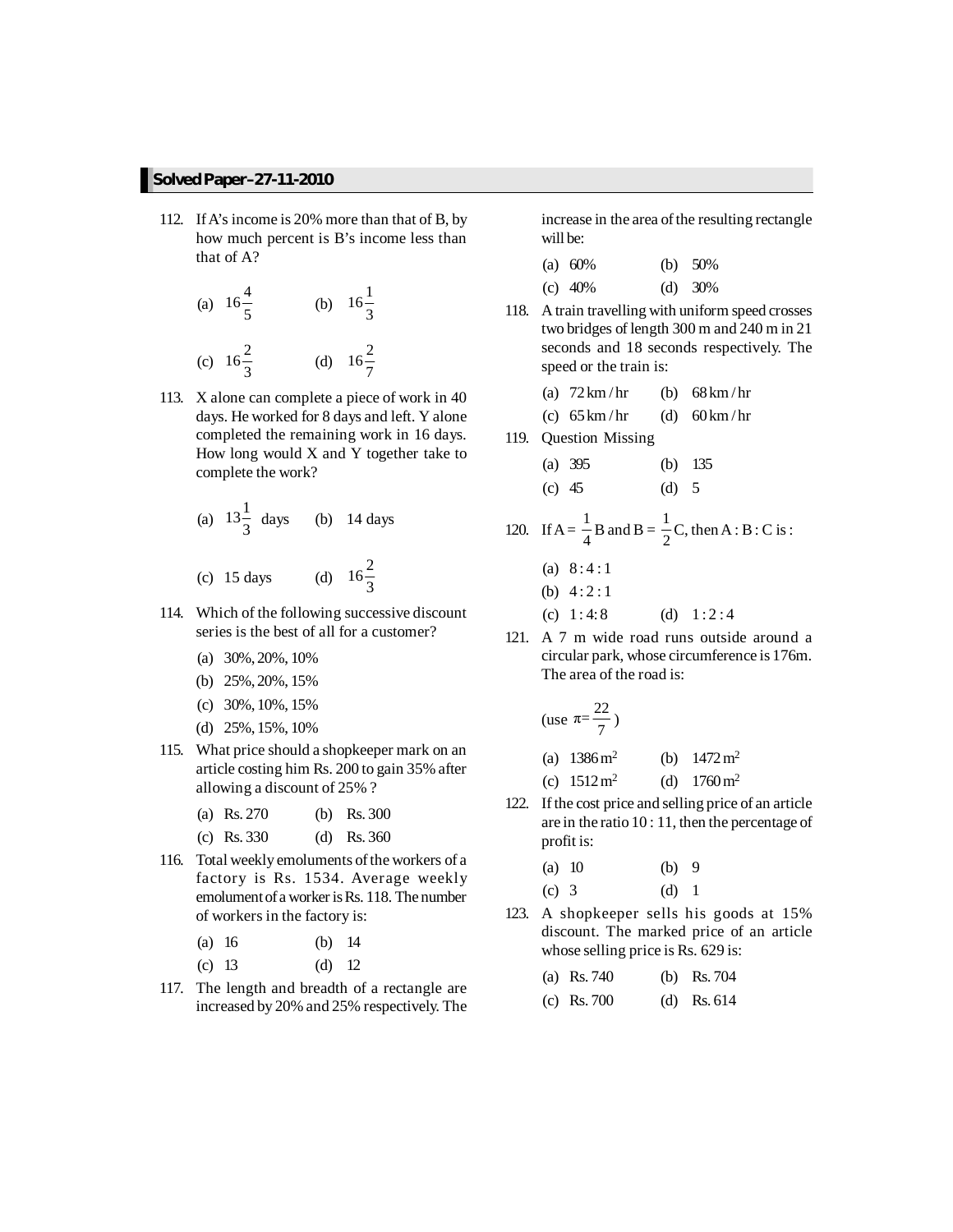- 112. IfA's income is 20% more than that of B, by how much percent is B's income less than that of A?
	- (a)  $16\frac{4}{5}$  (b)  $16\frac{1}{3}$ (c)  $16\frac{2}{3}$  (d)  $16\frac{2}{7}$
- 113. X alone can complete a piece of work in 40 days. He worked for 8 days and left. Y alone completed the remaining work in 16 days. How long would X and Y together take to complete the work?

(a) 
$$
13\frac{1}{3}
$$
 days (b) 14 days  
(c) 15 days (d)  $16\frac{2}{3}$ 

- 114. Which of the following successive discount series is the best of all for a customer?
	- (a) 30%, 20%, 10%
	- (b) 25%, 20%, 15%
	- (c) 30%, 10%, 15%
	- (d) 25%, 15%, 10%
- 115. What price should a shopkeeper mark on an article costing him Rs. 200 to gain 35% after allowing a discount of 25% ?
	- (a) Rs. 270 (b) Rs. 300
	- (c) Rs. 330 (d) Rs. 360
- 116. Total weekly emoluments of the workers of a factory is Rs. 1534. Average weekly emolument of a worker is Rs. 118. The number of workers in the factory is:

| (a) 16 | (b) $14$ |  |
|--------|----------|--|
|        |          |  |

- (c) 13 (d) 12
- 117. The length and breadth of a rectangle are increased by 20% and 25% respectively. The

increase in the area of the resulting rectangle will be:

| (a) $60\%$ | (b) $50\%$ |
|------------|------------|
| (c) $40\%$ | (d) $30\%$ |

- 118. A train travelling with uniform speed crosses two bridges of length 300 m and 240 m in 21 seconds and 18 seconds respectively. The speed or the train is:
	- (a)  $72 \text{ km/hr}$  (b)  $68 \text{ km/hr}$

(c)  $65 \text{ km/hr}$  (d)  $60 \text{ km/hr}$ 

119. Question Missing

|          | (a) 395 |         | (b) $135$ |
|----------|---------|---------|-----------|
| (c) $45$ |         | (d) $5$ |           |

120. If 
$$
A = \frac{1}{4}B
$$
 and  $B = \frac{1}{2}C$ , then  $A : B : C$  is :

- (a)  $8:4:1$
- (b)  $4:2:1$
- (c)  $1:4:8$  (d)  $1:2:4$
- 121. A 7 m wide road runs outside around a circular park, whose circumference is 176m. The area of the road is:

(use 
$$
\pi = \frac{22}{7}
$$
)  
(a) 1386 m<sup>2</sup> (b)

(c)  $1512 \text{ m}^2$ (d)  $1760 \text{ m}^2$ 

122. Ifthe cost price and selling price of an article are in the ratio 10 : 11, then the percentage of profit is:

 $1472 \,\mathrm{m}^2$ 

| (a) 10  | $(b)$ 9 |  |
|---------|---------|--|
| $(c)$ 3 | $(d)$ 1 |  |

123. A shopkeeper sells his goods at 15% discount. The marked price of an article whose selling price is Rs. 629 is:

| (a) Rs. $740$ | (b) Rs. $704$ |
|---------------|---------------|
| (c) Rs. $700$ | (d) Rs. $614$ |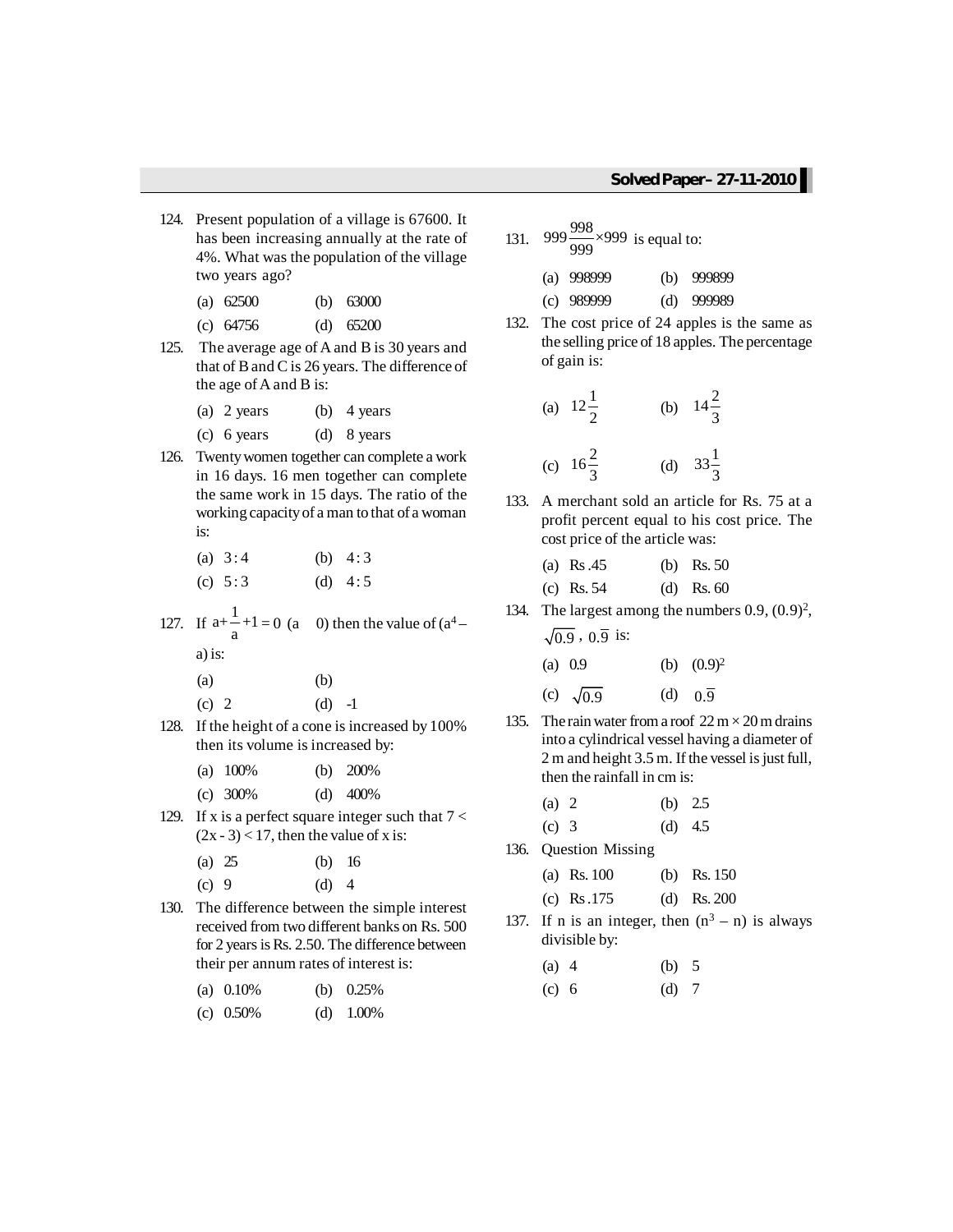- 124. Present population of a village is 67600. It has been increasing annually at the rate of 4%. What was the population of the village two years ago?
	- (a) 62500 (b) 63000
	- (c) 64756 (d) 65200
- 125. The average age of A and B is 30 years and that of Band Cis 26 years. The difference of the age of A and B is:
	- (a) 2 years (b) 4 years
	- (c) 6 years (d) 8 years
- 126. Twentywomen together can complete a work in 16 days. 16 men together can complete the same work in 15 days. The ratio of the working capacityof a man to that of a woman is:
	- (a)  $3:4$  (b)  $4:3$ (c)  $5:3$  (d)  $4:5$
- 127. If  $a+\frac{1}{a}+1=0$  (a 0) then the value of  $(a^4-$

a) is:

- $(a)$  (b) (c) 2 (d)  $-1$
- 128. If the height of a cone is increased by 100% then its volume is increased by:

| (a) $100\%$ | (b) | - 200% |
|-------------|-----|--------|
|             |     |        |

- (c) 300% (d) 400%
- 129. If x is a perfect square integer such that  $7 <$  $(2x - 3) < 17$ , then the value of x is:
	- (a) 25 (b) 16
	- (c)  $9$  (d)  $4$
- 130. The difference between the simple interest received from two different banks on Rs. 500 for 2 years is Rs. 2.50. The difference between their per annum rates of interest is:

| (a) $0.10\%$ | (b) $0.25\%$ |
|--------------|--------------|
|              |              |

(c) 0.50% (d) 1.00%

131. 999 $\frac{998}{999} \times 999$  is equal to:

| (a) $998999$ | (b) $999899$ |
|--------------|--------------|
| $(c)$ 989999 | (d) $999989$ |

132. The cost price of 24 apples is the same as the selling price of 18 apples. The percentage of gain is:

(a) 
$$
12\frac{1}{2}
$$
 (b)  $14\frac{2}{3}$   
(c)  $16\frac{2}{3}$  (d)  $33\frac{1}{3}$ 

133. A merchant sold an article for Rs. 75 at a profit percent equal to his cost price. The cost price of the article was:

| (a) Rs.45    | (b) Rs. $50$ |
|--------------|--------------|
| (c) Rs. $54$ | (d) Rs. $60$ |

134. The largest among the numbers  $0.9$ ,  $(0.9)^2$ ,  $\sqrt{0.9}$ ,  $0.\overline{9}$  is:

| (a) $0.9$        | (b) $(0.9)^2$        |
|------------------|----------------------|
| (c) $\sqrt{0.9}$ | (d) $0.\overline{9}$ |

135. The rain water from a roof  $22 \text{ m} \times 20 \text{ m}$  drains into a cylindrical vessel having a diameter of  $2 m$  and height  $3.5 m$ . If the vessel is just full, then the rainfall in cm is:

| (a) 2 | (b) $2.5$ |           |
|-------|-----------|-----------|
| (c) 3 |           | (d) $4.5$ |

136. Question Missing

| (a) Rs. $100$ | (b) Rs. $150$ |
|---------------|---------------|
| (c) Rs.175    | (d) Rs. 200   |

137. If n is an integer, then  $(n^3 - n)$  is always divisible by:

| $(a)$ 4 | (b) $5$ |  |
|---------|---------|--|
| (c) 6   | $(d)$ 7 |  |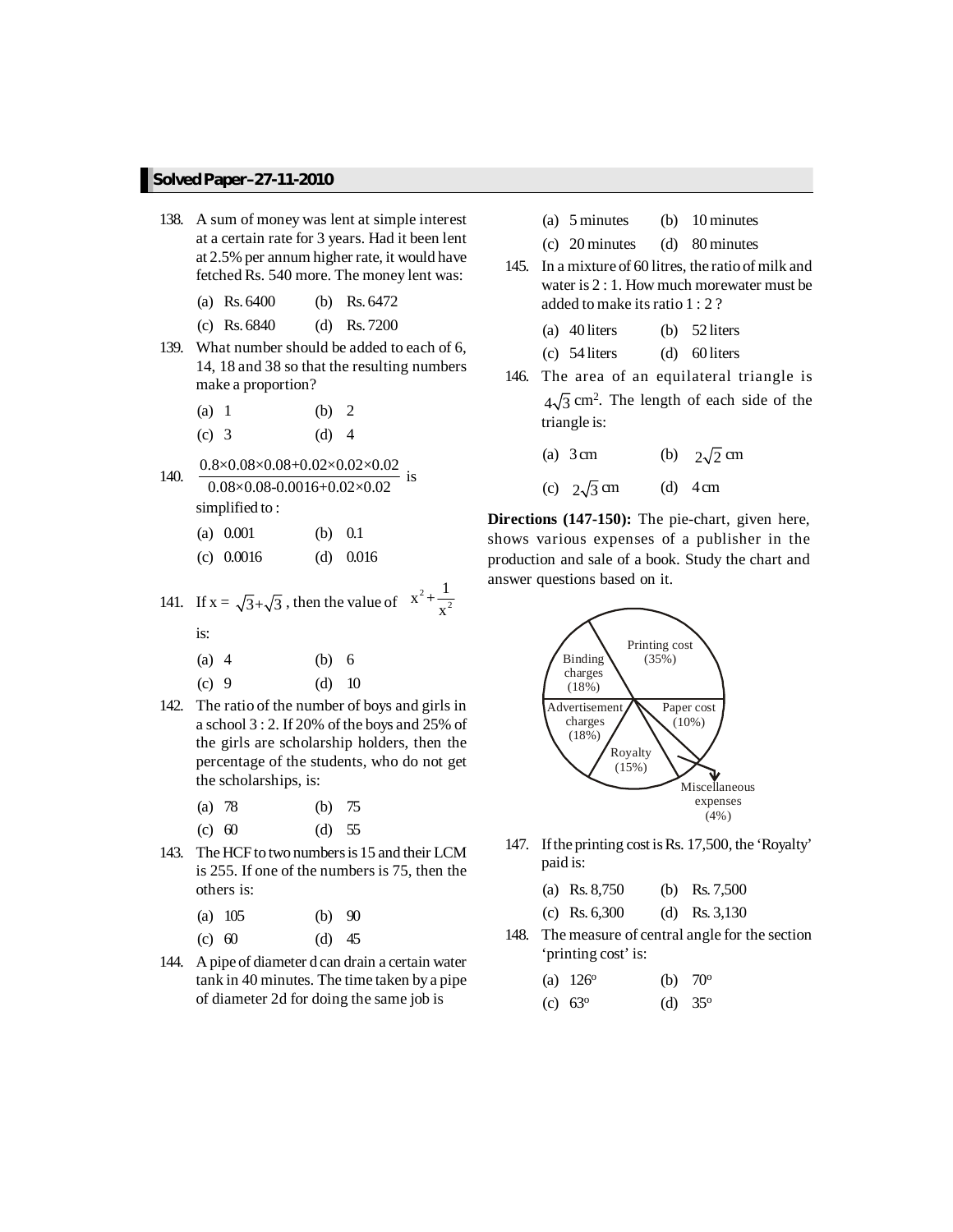- 138. A sum of money was lent at simple interest at a certain rate for 3 years. Had it been lent at 2.5% per annum higher rate, it would have fetched Rs. 540 more. The money lent was:
	- (a) Rs. 6400 (b) Rs. 6472
	- (c) Rs. 6840 (d) Rs. 7200
- 139. What number should be added to each of 6, 14, 18 and 38 so that the resulting numbers make a proportion?
	- (a) 1 (b) 2
	- (c) 3 (d) 4
- 140.  $\frac{0.8 \times 0.08 \times 0.08 + 0.02 \times 0.02 \times 0.02}{0.08 \times 0.08 - 0.0016 + 0.02 \times 0.02}$  is simplified to :
	-
	- (a) 0.001 (b) 0.1 (c) 0.0016 (d) 0.016

141. If 
$$
x = \sqrt{3} + \sqrt{3}
$$
, then the value of  $x^2 + \frac{1}{x^2}$ 

is:

- (a) 4 (b) 6
- (c) 9 (d) 10
- 142. The ratio of the number of boys and girls in a school 3 : 2. If 20% of the boys and 25% of the girls are scholarship holders, then the percentage of the students, who do not get the scholarships, is:
	- (a) 78 (b) 75
	- (c) 60 (d) 55
- 143. The HCF to two numbers is 15 and their LCM is 255. If one of the numbers is 75, then the others is:
	- (a) 105 (b) 90
	- (c) 60 (d) 45
- 144. A pipe of diameter d can drain a certain water tank in 40 minutes. The time taken by a pipe of diameter 2d for doing the same job is
- (a) 5 minutes (b) 10 minutes
- (c) 20 minutes (d) 80 minutes
- 145. In a mixture of 60 litres, the ratio of milk and water is 2 : 1. How much morewater must be added to make itsratio 1 : 2 ?
	- (a) 40 liters (b) 52 liters
	- (c) 54 liters (d) 60 liters
- 146. The area of an equilateral triangle is  $4\sqrt{3}$  cm<sup>2</sup>. The length of each side of the triangle is:
	- (a) 3 cm (b)  $2\sqrt{2}$  cm (c)  $2\sqrt{3}$  cm (d) 4 cm

**Directions (147-150):** The pie-chart, given here, shows various expenses of a publisher in the production and sale of a book. Study the chart and answer questions based on it.



147. Ifthe printing cost isRs. 17,500, the 'Royalty' paid is:

| (a) Rs. $8,750$ | (b) Rs. $7,500$ |
|-----------------|-----------------|
| (c) Rs. $6,300$ | (d) Rs. $3,130$ |

148. The measure of central angle for the section 'printing cost' is:

| (a) $126^{\circ}$ | (b) $70^{\circ}$ |
|-------------------|------------------|
|                   |                  |

(c)  $63^{\circ}$ (d)  $35^{\circ}$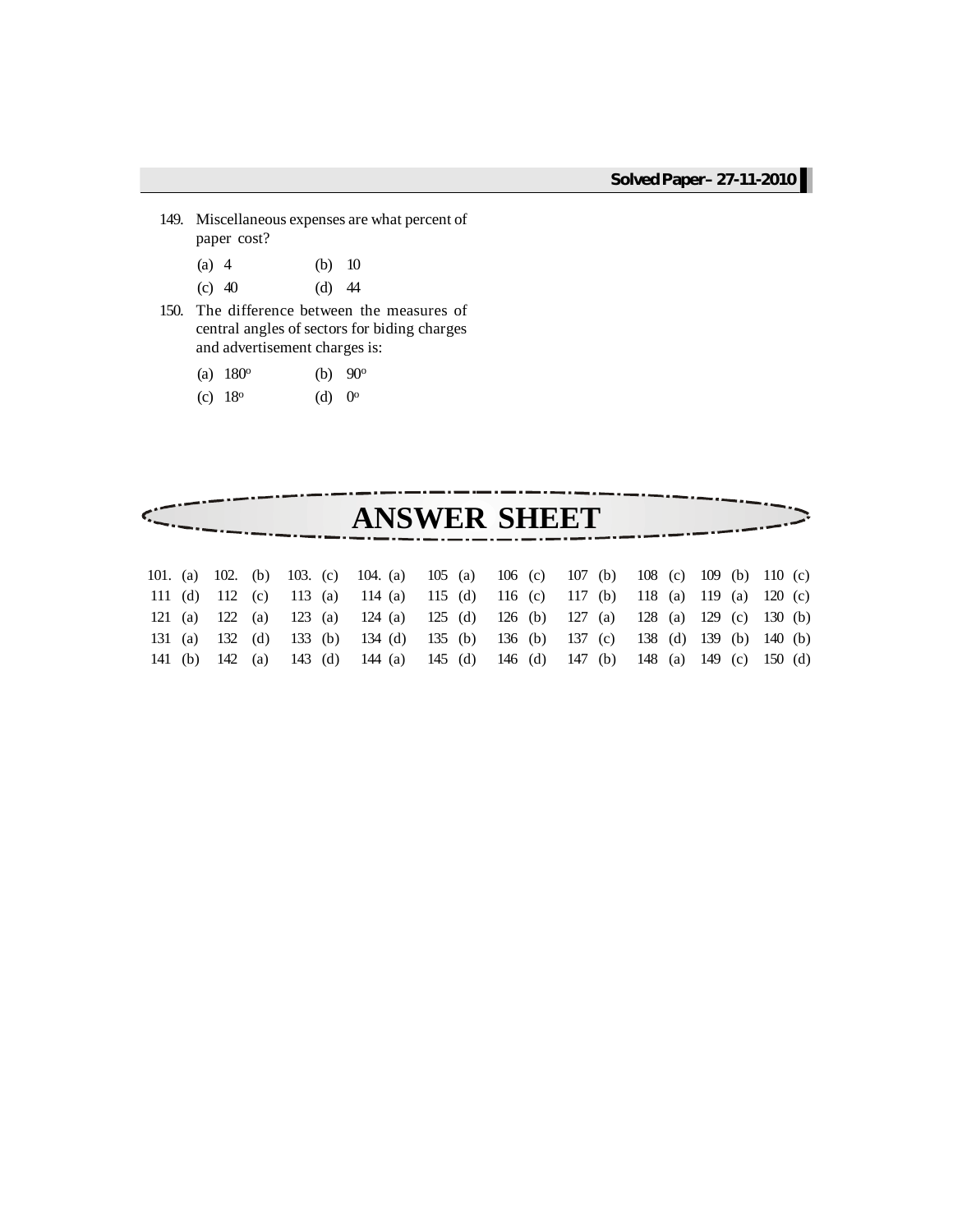- 149. Miscellaneous expenses are what percent of paper cost?
	- (a) 4 (b) 10
	- (c) 40 (d) 44
- 150. The difference between the measures of central angles of sectors for biding charges and advertisement charges is:
	- (a)  $180^{\circ}$ (b)  $90^{\circ}$
	- (c)  $18^{\circ}$  $(d) 0^{\circ}$

| <b>ANSWER SHEET</b><br>101. (a) 102. (b) 103. (c) 104. (a) 105 (a) 106 (c) 107 (b) 108 (c) 109 (b) 110 (c)<br>111 (d) 112 (c) 113 (a) 114 (a) 115 (d) 116 (c) 117 (b) 118 (a) 119 (a) 120 (c)<br>123 (a) 124 (a) 125 (d) 126 (b) 127 (a) 128 (a) 129 (c) 130 (b)<br>122 (a)<br>121 (a)<br>133 (b) 134 (d) 135 (b) 136 (b) 137 (c) 138 (d) 139 (b) 140 (b)<br>132 (d)<br>131 (a) |  |  |  |  |  |  |  |  |  |
|---------------------------------------------------------------------------------------------------------------------------------------------------------------------------------------------------------------------------------------------------------------------------------------------------------------------------------------------------------------------------------|--|--|--|--|--|--|--|--|--|
|                                                                                                                                                                                                                                                                                                                                                                                 |  |  |  |  |  |  |  |  |  |
|                                                                                                                                                                                                                                                                                                                                                                                 |  |  |  |  |  |  |  |  |  |
|                                                                                                                                                                                                                                                                                                                                                                                 |  |  |  |  |  |  |  |  |  |
|                                                                                                                                                                                                                                                                                                                                                                                 |  |  |  |  |  |  |  |  |  |
|                                                                                                                                                                                                                                                                                                                                                                                 |  |  |  |  |  |  |  |  |  |
|                                                                                                                                                                                                                                                                                                                                                                                 |  |  |  |  |  |  |  |  |  |
| 142 (a) 143 (d) 144 (a) 145 (d) 146 (d) 147 (b) 148 (a) 149 (c) 150 (d)<br>141 (b)                                                                                                                                                                                                                                                                                              |  |  |  |  |  |  |  |  |  |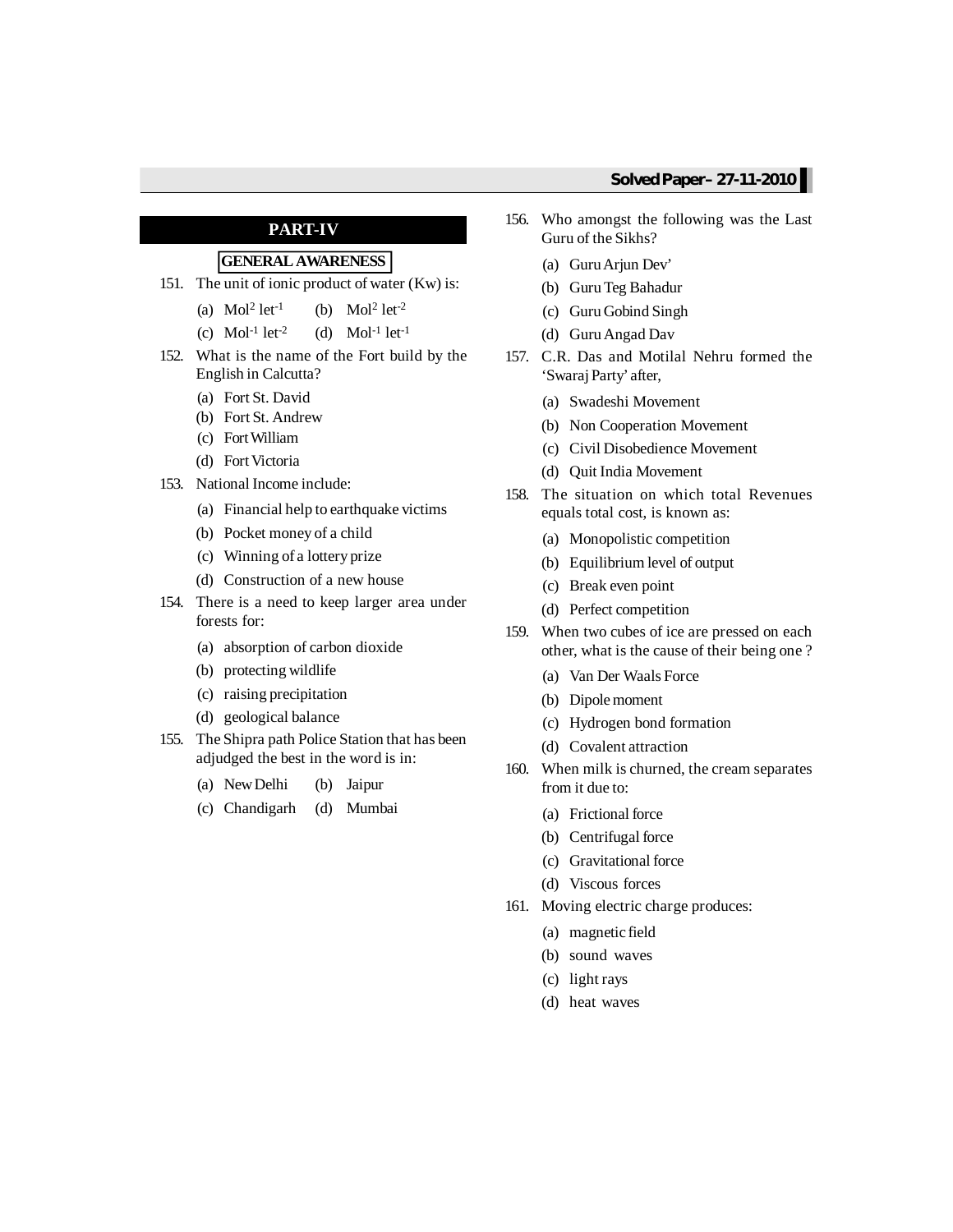#### **PART-IV**

## **GENERALAWARENESS**

- 151. The unit of ionic product of water (Kw) is:
	- (a)  $Mol<sup>2</sup> let<sup>-1</sup>$  $let<sup>-1</sup>$  (b) Mol<sup>2</sup>  $let<sup>-2</sup>$
	- (c)  $Mol^{-1} let^{-2}$  (d)  $Mol^{-1} let^{-1}$
- 152. What is the name of the Fort build by the English in Calcutta?
	- (a) Fort St. David
	- (b) Fort St. Andrew
	- (c) FortWilliam
	- (d) Fort Victoria
- 153. National Income include:
	- (a) Financial help to earthquake victims
	- (b) Pocket money of a child
	- (c) Winning of a lottery prize
	- (d) Construction of a new house
- 154. There is a need to keep larger area under forests for:
	- (a) absorption of carbon dioxide
	- (b) protecting wildlife
	- (c) raising precipitation
	- (d) geological balance
- 155. The Shipra path Police Station that has been adjudged the best in the word is in:
	- (a) NewDelhi (b) Jaipur
	- (c) Chandigarh (d) Mumbai
- 156. Who amongst the following was the Last Guru of the Sikhs?
	- (a) GuruArjun Dev'
	- (b) GuruTeg Bahadur
	- (c) Guru Gobind Singh
	- (d) GuruAngad Dav
- 157. C.R. Das and Motilal Nehru formed the 'Swaraj Party' after,
	- (a) Swadeshi Movement
	- (b) Non Cooperation Movement
	- (c) Civil Disobedience Movement
	- (d) Quit India Movement
- 158. The situation on which total Revenues equals total cost, is known as:
	- (a) Monopolistic competition
	- (b) Equilibrium level of output
	- (c) Break even point
	- (d) Perfect competition
- 159. When two cubes of ice are pressed on each other, what is the cause of their being one ?
	- (a) Van Der Waals Force
	- (b) Dipolemoment
	- (c) Hydrogen bond formation
	- (d) Covalent attraction
- 160. When milk is churned, the cream separates from it due to:
	- (a) Frictional force
	- (b) Centrifugal force
	- (c) Gravitational force
	- (d) Viscous forces
- 161. Moving electric charge produces:
	- (a) magnetic field
	- (b) sound waves
	- (c) light rays
	- (d) heat waves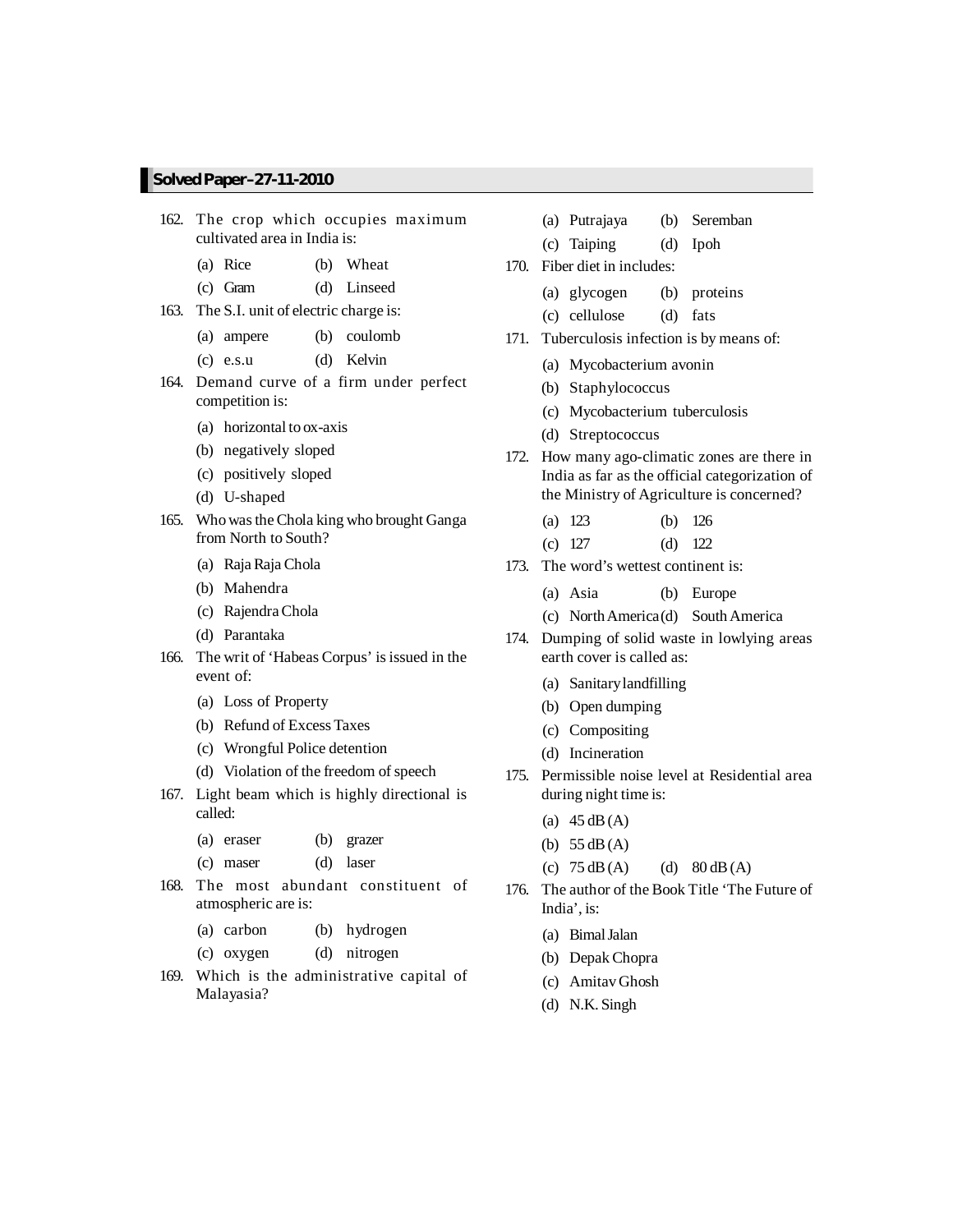- 162. The crop which occupies maximum cultivated area in India is:
	- (a) Rice (b) Wheat
	- (c) Gram (d) Linseed
- 163. The S.I. unit of electric charge is:
	- (a) ampere (b) coulomb
	- (c) e.s.u (d) Kelvin
- 164. Demand curve of a firm under perfect competition is:
	- (a) horizontal to ox-axis
	- (b) negatively sloped
	- (c) positively sloped
	- (d) U-shaped
- 165. Who was the Chola king who brought Ganga from North to South?
	- (a) RajaRaja Chola
	- (b) Mahendra
	- (c) RajendraChola
	- (d) Parantaka
- 166. The writ of 'Habeas Corpus' is issued in the event of:
	- (a) Loss of Property
	- (b) Refund of Excess Taxes
	- (c) Wrongful Police detention
	- (d) Violation of the freedom of speech
- 167. Light beam which is highly directional is called:
	- (a) eraser (b) grazer
	- (c) maser (d) laser
- 168. The most abundant constituent of atmospheric are is:
	- (a) carbon (b) hydrogen
	- (c) oxygen (d) nitrogen
- 169. Which is the administrative capital of Malayasia?
- (a) Putrajaya (b) Seremban
- (c) Taiping (d) Ipoh
- 170. Fiber diet in includes:
	- (a) glycogen (b) proteins
	- (c) cellulose (d) fats
- 171. Tuberculosis infection is by means of:
	- (a) Mycobacterium avonin
	- (b) Staphylococcus
	- (c) Mycobacterium tuberculosis
	- (d) Streptococcus
- 172. How many ago-climatic zones are there in India as far as the official categorization of the Ministry of Agriculture is concerned?
	- (a) 123 (b) 126
	- (c) 127 (d) 122
- 173. The word's wettest continent is:
	- (a) Asia (b) Europe
	- (c) NorthAmerica(d) SouthAmerica
- 174. Dumping of solid waste in lowlying areas earth cover is called as:
	- (a) Sanitarylandfilling
	- (b) Open dumping
	- (c) Compositing
	- (d) Incineration
- 175. Permissible noise level at Residential area during night time is:
	- (a)  $45 \text{ dB}(A)$
	- (b)  $55 \text{ dB} (A)$
	- (c)  $75 \text{ dB}(A)$  (d)  $80 \text{ dB}(A)$
- 176. The author of the Book Title 'The Future of India', is:
	- (a) BimalJalan
	- (b) DepakChopra
	- (c) AmitavGhosh
	- (d) N.K. Singh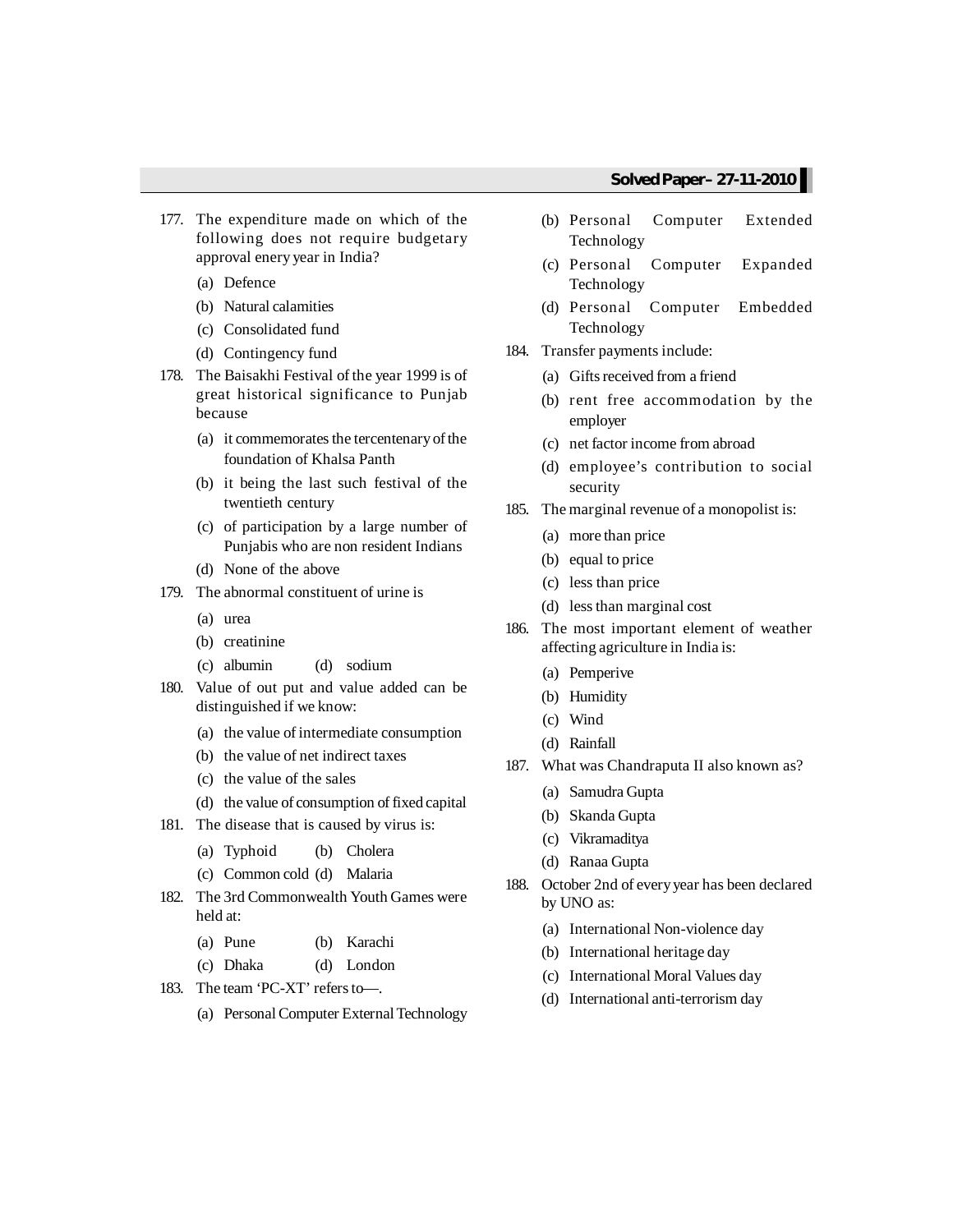- 177. The expenditure made on which of the following does not require budgetary approval enery year in India?
	- (a) Defence
	- (b) Natural calamities
	- (c) Consolidated fund
	- (d) Contingency fund
- 178. The Baisakhi Festival of the year 1999 is of great historical significance to Punjab because
	- (a) it commemorates the tercentenary of the foundation of Khalsa Panth
	- (b) it being the last such festival of the twentieth century
	- (c) of participation by a large number of Punjabis who are non resident Indians
	- (d) None of the above
- 179. The abnormal constituent of urine is
	- (a) urea
	- (b) creatinine
	- (c) albumin (d) sodium
- 180. Value of out put and value added can be distinguished if we know:
	- (a) the value of intermediate consumption
	- (b) the value of net indirect taxes
	- (c) the value of the sales
	- (d) the value of consumption of fixed capital
- 181. The disease that is caused by virus is:
	- (a) Typhoid (b) Cholera
	- (c) Common cold (d) Malaria
- 182. The 3rd Commonwealth Youth Games were held at:
	- (a) Pune (b) Karachi
	- (c) Dhaka (d) London
- 183. The team 'PC-XT' refersto—.
	- (a) PersonalComputer ExternalTechnology
- (b) Personal Computer Extended Technology
- (c) Personal Computer Expanded Technology
- (d) Personal Computer Embedded Technology
- 184. Transfer payments include:
	- (a) Gifts received from a friend
	- (b) rent free accommodation by the employer
	- (c) net factor income from abroad
	- (d) employee's contribution to social security
- 185. The marginal revenue of a monopolist is:
	- (a) more than price
	- (b) equal to price
	- (c) less than price
	- (d) lessthan marginal cost
- 186. The most important element of weather affecting agriculture in India is:
	- (a) Pemperive
	- (b) Humidity
	- (c) Wind
	- (d) Rainfall
- 187. What was Chandraputa II also known as?
	- (a) Samudra Gupta
	- (b) Skanda Gupta
	- (c) Vikramaditya
	- (d) Ranaa Gupta
- 188. October 2nd of everyyear has been declared by UNO as:
	- (a) International Non-violence day
	- (b) International heritage day
	- (c) International Moral Values day
	- (d) International anti-terrorism day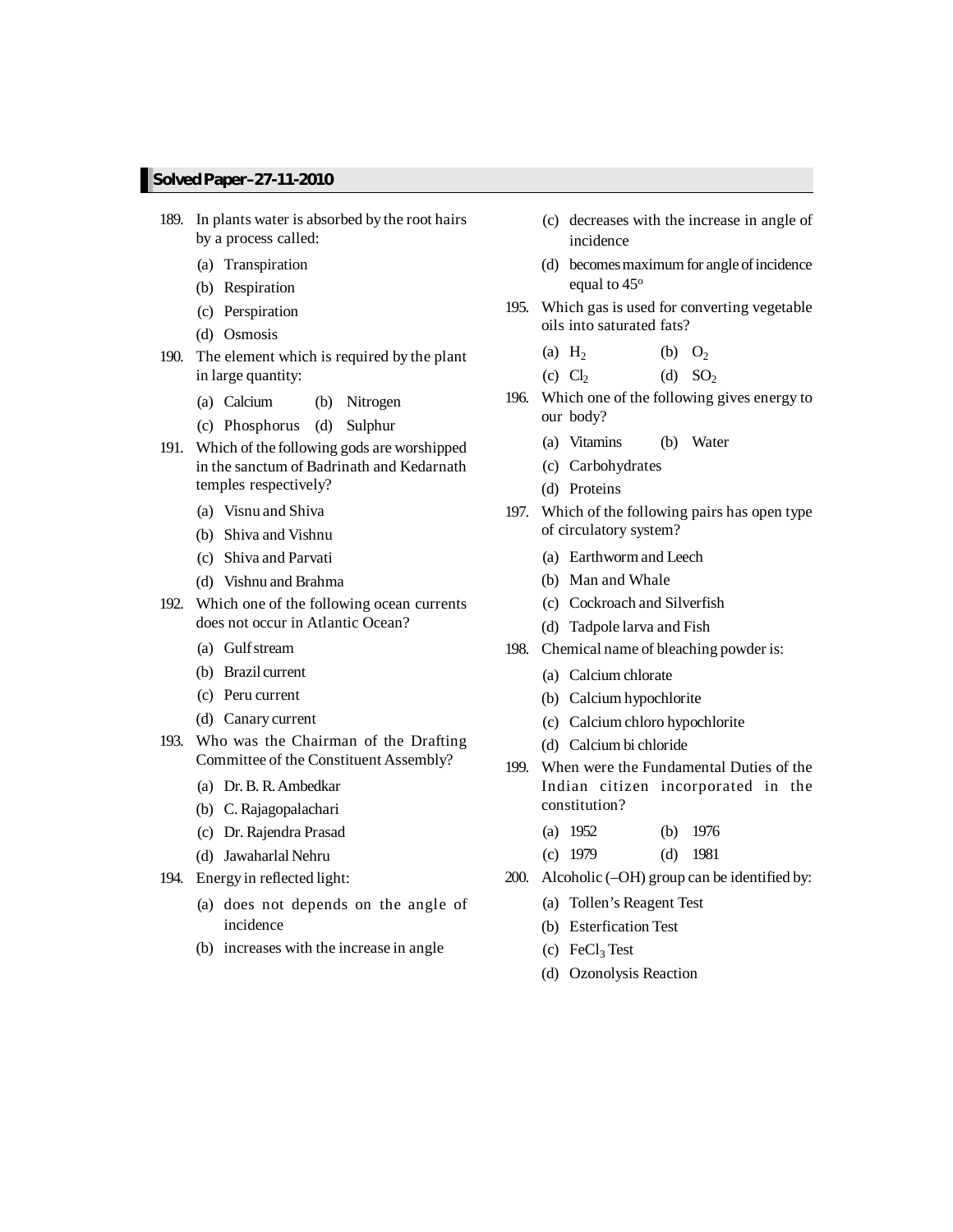- 189. In plants water is absorbed by the root hairs by a process called:
	- (a) Transpiration
	- (b) Respiration
	- (c) Perspiration
	- (d) Osmosis
- 190. The element which is required by the plant in large quantity:
	- (a) Calcium (b) Nitrogen
	- (c) Phosphorus (d) Sulphur
- 191. Which of the following gods are worshipped in the sanctum of Badrinath and Kedarnath temples respectively?
	- (a) Visnu and Shiva
	- (b) Shiva and Vishnu
	- (c) Shiva and Parvati
	- (d) Vishnu and Brahma
- 192. Which one of the following ocean currents does not occur in Atlantic Ocean?
	- (a) Gulfstream
	- (b) Brazil current
	- (c) Peru current
	- (d) Canary current
- 193. Who was the Chairman of the Drafting Committee of the Constituent Assembly?
	- (a) Dr.B. R.Ambedkar
	- (b) C. Rajagopalachari
	- (c) Dr. Rajendra Prasad
	- (d) Jawaharlal Nehru
- 194. Energy in reflected light:
	- (a) does not depends on the angle of incidence
	- (b) increases with the increase in angle
- (c) decreases with the increase in angle of incidence
- (d) becomes maximum for angle of incidence equal to 45<sup>o</sup>
- 195. Which gas is used for converting vegetable oils into saturated fats?
	- $(a)$  H<sub>2</sub> (b)  $O_2$ (c)  $Cl<sub>2</sub>$ (d)  $SO<sub>2</sub>$
- 196. Which one of the following gives energy to our body?
	- (a) Vitamins (b) Water
	- (c) Carbohydrates
	- (d) Proteins
- 197. Which of the following pairs has open type of circulatory system?
	- (a) Earthwormand Leech
	- (b) Man and Whale
	- (c) Cockroach and Silverfish
	- (d) Tadpole larva and Fish
- 198. Chemical name of bleaching powder is:
	- (a) Calcium chlorate
	- (b) Calcium hypochlorite
	- (c) Calcium chloro hypochlorite
	- (d) Calcium bi chloride
- 199. When were the Fundamental Duties of the Indian citizen incorporated in the constitution?
	- (a) 1952 (b) 1976
	- (c) 1979 (d) 1981
- 200. Alcoholic (–OH) group can be identified by:
	- (a) Tollen's Reagent Test
	- (b) Esterfication Test
	- (c)  $FeCl<sub>3</sub> Test$
	- (d) Ozonolysis Reaction